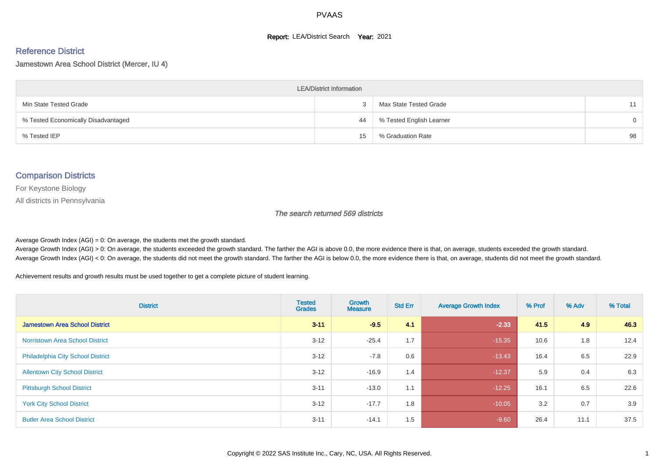#### **Report: LEA/District Search Year: 2021**

#### Reference District

#### Jamestown Area School District (Mercer, IU 4)

| <b>LEA/District Information</b>     |    |                          |          |  |  |  |  |  |  |  |
|-------------------------------------|----|--------------------------|----------|--|--|--|--|--|--|--|
| Min State Tested Grade              |    | Max State Tested Grade   | 11       |  |  |  |  |  |  |  |
| % Tested Economically Disadvantaged | 44 | % Tested English Learner | $\Omega$ |  |  |  |  |  |  |  |
| % Tested IEP                        | 15 | % Graduation Rate        | 98       |  |  |  |  |  |  |  |

#### Comparison Districts

For Keystone Biology

All districts in Pennsylvania

The search returned 569 districts

Average Growth Index  $(AGI) = 0$ : On average, the students met the growth standard.

Average Growth Index (AGI) > 0: On average, the students exceeded the growth standard. The farther the AGI is above 0.0, the more evidence there is that, on average, students exceeded the growth standard. Average Growth Index (AGI) < 0: On average, the students did not meet the growth standard. The farther the AGI is below 0.0, the more evidence there is that, on average, students did not meet the growth standard.

Achievement results and growth results must be used together to get a complete picture of student learning.

| <b>District</b>                          | <b>Tested</b><br><b>Grades</b> | Growth<br><b>Measure</b> | <b>Std Err</b> | <b>Average Growth Index</b> | % Prof | % Adv | % Total |
|------------------------------------------|--------------------------------|--------------------------|----------------|-----------------------------|--------|-------|---------|
| <b>Jamestown Area School District</b>    | $3 - 11$                       | $-9.5$                   | 4.1            | $-2.33$                     | 41.5   | 4.9   | 46.3    |
| <b>Norristown Area School District</b>   | $3 - 12$                       | $-25.4$                  | 1.7            | $-15.35$                    | 10.6   | 1.8   | 12.4    |
| <b>Philadelphia City School District</b> | $3 - 12$                       | $-7.8$                   | 0.6            | $-13.43$                    | 16.4   | 6.5   | 22.9    |
| <b>Allentown City School District</b>    | $3 - 12$                       | $-16.9$                  | 1.4            | $-12.37$                    | 5.9    | 0.4   | 6.3     |
| <b>Pittsburgh School District</b>        | $3 - 11$                       | $-13.0$                  | 1.1            | $-12.25$                    | 16.1   | 6.5   | 22.6    |
| <b>York City School District</b>         | $3 - 12$                       | $-17.7$                  | 1.8            | $-10.05$                    | 3.2    | 0.7   | 3.9     |
| <b>Butler Area School District</b>       | $3 - 11$                       | $-14.1$                  | 1.5            | $-9.60$                     | 26.4   | 11.1  | 37.5    |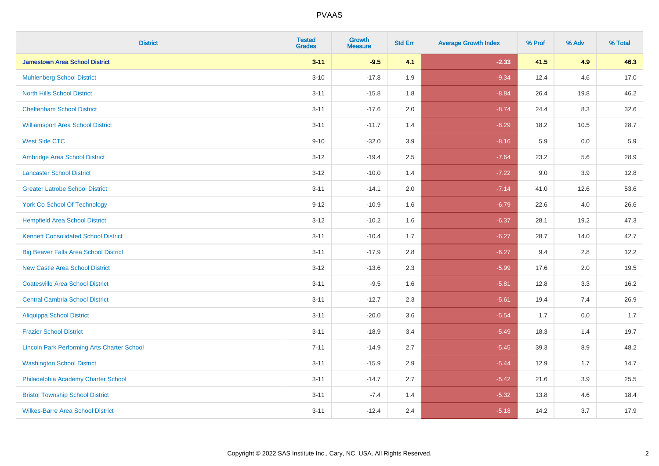| <b>District</b>                                    | <b>Tested</b><br><b>Grades</b> | <b>Growth</b><br><b>Measure</b> | <b>Std Err</b> | <b>Average Growth Index</b> | % Prof | % Adv | % Total |
|----------------------------------------------------|--------------------------------|---------------------------------|----------------|-----------------------------|--------|-------|---------|
| <b>Jamestown Area School District</b>              | $3 - 11$                       | $-9.5$                          | 4.1            | $-2.33$                     | 41.5   | 4.9   | 46.3    |
| <b>Muhlenberg School District</b>                  | $3 - 10$                       | $-17.8$                         | 1.9            | $-9.34$                     | 12.4   | 4.6   | 17.0    |
| <b>North Hills School District</b>                 | $3 - 11$                       | $-15.8$                         | 1.8            | $-8.84$                     | 26.4   | 19.8  | 46.2    |
| <b>Cheltenham School District</b>                  | $3 - 11$                       | $-17.6$                         | 2.0            | $-8.74$                     | 24.4   | 8.3   | 32.6    |
| <b>Williamsport Area School District</b>           | $3 - 11$                       | $-11.7$                         | 1.4            | $-8.29$                     | 18.2   | 10.5  | 28.7    |
| <b>West Side CTC</b>                               | $9 - 10$                       | $-32.0$                         | 3.9            | $-8.16$                     | 5.9    | 0.0   | 5.9     |
| Ambridge Area School District                      | $3 - 12$                       | $-19.4$                         | 2.5            | $-7.64$                     | 23.2   | 5.6   | 28.9    |
| <b>Lancaster School District</b>                   | $3 - 12$                       | $-10.0$                         | 1.4            | $-7.22$                     | 9.0    | 3.9   | 12.8    |
| <b>Greater Latrobe School District</b>             | $3 - 11$                       | $-14.1$                         | 2.0            | $-7.14$                     | 41.0   | 12.6  | 53.6    |
| <b>York Co School Of Technology</b>                | $9 - 12$                       | $-10.9$                         | 1.6            | $-6.79$                     | 22.6   | 4.0   | 26.6    |
| <b>Hempfield Area School District</b>              | $3-12$                         | $-10.2$                         | 1.6            | $-6.37$                     | 28.1   | 19.2  | 47.3    |
| <b>Kennett Consolidated School District</b>        | $3 - 11$                       | $-10.4$                         | 1.7            | $-6.27$                     | 28.7   | 14.0  | 42.7    |
| <b>Big Beaver Falls Area School District</b>       | $3 - 11$                       | $-17.9$                         | 2.8            | $-6.27$                     | 9.4    | 2.8   | 12.2    |
| <b>New Castle Area School District</b>             | $3-12$                         | $-13.6$                         | 2.3            | $-5.99$                     | 17.6   | 2.0   | 19.5    |
| <b>Coatesville Area School District</b>            | $3 - 11$                       | $-9.5$                          | 1.6            | $-5.81$                     | 12.8   | 3.3   | 16.2    |
| <b>Central Cambria School District</b>             | $3 - 11$                       | $-12.7$                         | 2.3            | $-5.61$                     | 19.4   | 7.4   | 26.9    |
| <b>Aliquippa School District</b>                   | $3 - 11$                       | $-20.0$                         | 3.6            | $-5.54$                     | 1.7    | 0.0   | 1.7     |
| <b>Frazier School District</b>                     | $3 - 11$                       | $-18.9$                         | 3.4            | $-5.49$                     | 18.3   | 1.4   | 19.7    |
| <b>Lincoln Park Performing Arts Charter School</b> | $7 - 11$                       | $-14.9$                         | 2.7            | $-5.45$                     | 39.3   | 8.9   | 48.2    |
| <b>Washington School District</b>                  | $3 - 11$                       | $-15.9$                         | 2.9            | $-5.44$                     | 12.9   | 1.7   | 14.7    |
| Philadelphia Academy Charter School                | $3 - 11$                       | $-14.7$                         | 2.7            | $-5.42$                     | 21.6   | 3.9   | 25.5    |
| <b>Bristol Township School District</b>            | $3 - 11$                       | $-7.4$                          | 1.4            | $-5.32$                     | 13.8   | 4.6   | 18.4    |
| <b>Wilkes-Barre Area School District</b>           | $3 - 11$                       | $-12.4$                         | 2.4            | $-5.18$                     | 14.2   | 3.7   | 17.9    |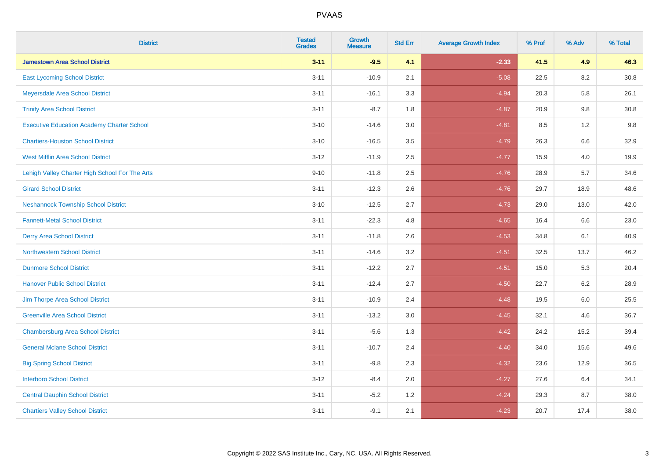| <b>District</b>                                   | <b>Tested</b><br><b>Grades</b> | <b>Growth</b><br><b>Measure</b> | <b>Std Err</b> | <b>Average Growth Index</b> | % Prof | % Adv   | % Total  |
|---------------------------------------------------|--------------------------------|---------------------------------|----------------|-----------------------------|--------|---------|----------|
| <b>Jamestown Area School District</b>             | $3 - 11$                       | $-9.5$                          | 4.1            | $-2.33$                     | 41.5   | 4.9     | 46.3     |
| <b>East Lycoming School District</b>              | $3 - 11$                       | $-10.9$                         | 2.1            | $-5.08$                     | 22.5   | $8.2\,$ | $30.8\,$ |
| Meyersdale Area School District                   | $3 - 11$                       | $-16.1$                         | 3.3            | $-4.94$                     | 20.3   | 5.8     | 26.1     |
| <b>Trinity Area School District</b>               | $3 - 11$                       | $-8.7$                          | 1.8            | $-4.87$                     | 20.9   | 9.8     | 30.8     |
| <b>Executive Education Academy Charter School</b> | $3 - 10$                       | $-14.6$                         | 3.0            | $-4.81$                     | 8.5    | 1.2     | 9.8      |
| <b>Chartiers-Houston School District</b>          | $3 - 10$                       | $-16.5$                         | 3.5            | $-4.79$                     | 26.3   | 6.6     | 32.9     |
| <b>West Mifflin Area School District</b>          | $3 - 12$                       | $-11.9$                         | 2.5            | $-4.77$                     | 15.9   | 4.0     | 19.9     |
| Lehigh Valley Charter High School For The Arts    | $9 - 10$                       | $-11.8$                         | 2.5            | $-4.76$                     | 28.9   | 5.7     | 34.6     |
| <b>Girard School District</b>                     | $3 - 11$                       | $-12.3$                         | 2.6            | $-4.76$                     | 29.7   | 18.9    | 48.6     |
| <b>Neshannock Township School District</b>        | $3 - 10$                       | $-12.5$                         | 2.7            | $-4.73$                     | 29.0   | 13.0    | 42.0     |
| <b>Fannett-Metal School District</b>              | $3 - 11$                       | $-22.3$                         | 4.8            | $-4.65$                     | 16.4   | 6.6     | 23.0     |
| <b>Derry Area School District</b>                 | $3 - 11$                       | $-11.8$                         | 2.6            | $-4.53$                     | 34.8   | 6.1     | 40.9     |
| <b>Northwestern School District</b>               | $3 - 11$                       | $-14.6$                         | 3.2            | $-4.51$                     | 32.5   | 13.7    | 46.2     |
| <b>Dunmore School District</b>                    | $3 - 11$                       | $-12.2$                         | 2.7            | $-4.51$                     | 15.0   | 5.3     | 20.4     |
| <b>Hanover Public School District</b>             | $3 - 11$                       | $-12.4$                         | 2.7            | $-4.50$                     | 22.7   | 6.2     | 28.9     |
| Jim Thorpe Area School District                   | $3 - 11$                       | $-10.9$                         | 2.4            | $-4.48$                     | 19.5   | $6.0\,$ | 25.5     |
| <b>Greenville Area School District</b>            | $3 - 11$                       | $-13.2$                         | 3.0            | $-4.45$                     | 32.1   | 4.6     | 36.7     |
| <b>Chambersburg Area School District</b>          | $3 - 11$                       | $-5.6$                          | 1.3            | $-4.42$                     | 24.2   | 15.2    | 39.4     |
| <b>General Mclane School District</b>             | $3 - 11$                       | $-10.7$                         | 2.4            | $-4.40$                     | 34.0   | 15.6    | 49.6     |
| <b>Big Spring School District</b>                 | $3 - 11$                       | $-9.8$                          | 2.3            | $-4.32$                     | 23.6   | 12.9    | 36.5     |
| <b>Interboro School District</b>                  | $3 - 12$                       | $-8.4$                          | 2.0            | $-4.27$                     | 27.6   | 6.4     | 34.1     |
| <b>Central Dauphin School District</b>            | $3 - 11$                       | $-5.2$                          | 1.2            | $-4.24$                     | 29.3   | 8.7     | 38.0     |
| <b>Chartiers Valley School District</b>           | $3 - 11$                       | $-9.1$                          | 2.1            | $-4.23$                     | 20.7   | 17.4    | 38.0     |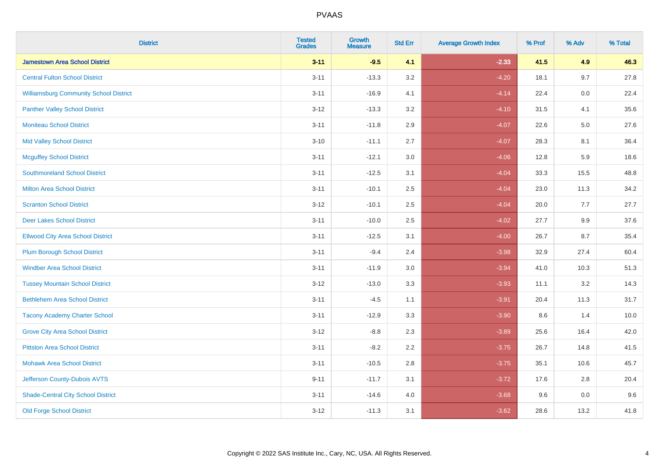| <b>District</b>                               | <b>Tested</b><br><b>Grades</b> | <b>Growth</b><br><b>Measure</b> | <b>Std Err</b> | <b>Average Growth Index</b> | % Prof | % Adv   | % Total |
|-----------------------------------------------|--------------------------------|---------------------------------|----------------|-----------------------------|--------|---------|---------|
| <b>Jamestown Area School District</b>         | $3 - 11$                       | $-9.5$                          | 4.1            | $-2.33$                     | 41.5   | 4.9     | 46.3    |
| <b>Central Fulton School District</b>         | $3 - 11$                       | $-13.3$                         | 3.2            | $-4.20$                     | 18.1   | 9.7     | 27.8    |
| <b>Williamsburg Community School District</b> | $3 - 11$                       | $-16.9$                         | 4.1            | $-4.14$                     | 22.4   | 0.0     | 22.4    |
| <b>Panther Valley School District</b>         | $3 - 12$                       | $-13.3$                         | 3.2            | $-4.10$                     | 31.5   | 4.1     | 35.6    |
| <b>Moniteau School District</b>               | $3 - 11$                       | $-11.8$                         | 2.9            | $-4.07$                     | 22.6   | 5.0     | 27.6    |
| <b>Mid Valley School District</b>             | $3 - 10$                       | $-11.1$                         | 2.7            | $-4.07$                     | 28.3   | 8.1     | 36.4    |
| <b>Mcguffey School District</b>               | $3 - 11$                       | $-12.1$                         | 3.0            | $-4.06$                     | 12.8   | 5.9     | 18.6    |
| <b>Southmoreland School District</b>          | $3 - 11$                       | $-12.5$                         | 3.1            | $-4.04$                     | 33.3   | 15.5    | 48.8    |
| <b>Milton Area School District</b>            | $3 - 11$                       | $-10.1$                         | 2.5            | $-4.04$                     | 23.0   | 11.3    | 34.2    |
| <b>Scranton School District</b>               | $3 - 12$                       | $-10.1$                         | $2.5\,$        | $-4.04$                     | 20.0   | 7.7     | 27.7    |
| <b>Deer Lakes School District</b>             | $3 - 11$                       | $-10.0$                         | 2.5            | $-4.02$                     | 27.7   | 9.9     | 37.6    |
| <b>Ellwood City Area School District</b>      | $3 - 11$                       | $-12.5$                         | 3.1            | $-4.00$                     | 26.7   | 8.7     | 35.4    |
| <b>Plum Borough School District</b>           | $3 - 11$                       | $-9.4$                          | 2.4            | $-3.98$                     | 32.9   | 27.4    | 60.4    |
| <b>Windber Area School District</b>           | $3 - 11$                       | $-11.9$                         | $3.0\,$        | $-3.94$                     | 41.0   | 10.3    | 51.3    |
| <b>Tussey Mountain School District</b>        | $3 - 12$                       | $-13.0$                         | 3.3            | $-3.93$                     | 11.1   | 3.2     | 14.3    |
| <b>Bethlehem Area School District</b>         | $3 - 11$                       | $-4.5$                          | 1.1            | $-3.91$                     | 20.4   | 11.3    | 31.7    |
| <b>Tacony Academy Charter School</b>          | $3 - 11$                       | $-12.9$                         | 3.3            | $-3.90$                     | 8.6    | 1.4     | 10.0    |
| <b>Grove City Area School District</b>        | $3 - 12$                       | $-8.8$                          | 2.3            | $-3.89$                     | 25.6   | 16.4    | 42.0    |
| <b>Pittston Area School District</b>          | $3 - 11$                       | $-8.2$                          | 2.2            | $-3.75$                     | 26.7   | 14.8    | 41.5    |
| <b>Mohawk Area School District</b>            | $3 - 11$                       | $-10.5$                         | 2.8            | $-3.75$                     | 35.1   | 10.6    | 45.7    |
| Jefferson County-Dubois AVTS                  | $9 - 11$                       | $-11.7$                         | 3.1            | $-3.72$                     | 17.6   | 2.8     | 20.4    |
| <b>Shade-Central City School District</b>     | $3 - 11$                       | $-14.6$                         | 4.0            | $-3.68$                     | 9.6    | $0.0\,$ | 9.6     |
| <b>Old Forge School District</b>              | $3 - 12$                       | $-11.3$                         | 3.1            | $-3.62$                     | 28.6   | 13.2    | 41.8    |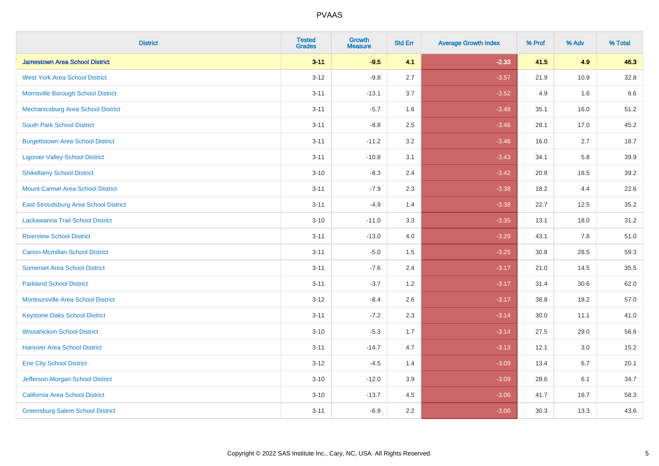| <b>District</b>                           | <b>Tested</b><br><b>Grades</b> | <b>Growth</b><br><b>Measure</b> | <b>Std Err</b> | <b>Average Growth Index</b> | % Prof | % Adv | % Total |
|-------------------------------------------|--------------------------------|---------------------------------|----------------|-----------------------------|--------|-------|---------|
| <b>Jamestown Area School District</b>     | $3 - 11$                       | $-9.5$                          | 4.1            | $-2.33$                     | 41.5   | 4.9   | 46.3    |
| <b>West York Area School District</b>     | $3 - 12$                       | $-9.8$                          | 2.7            | $-3.57$                     | 21.9   | 10.9  | 32.8    |
| Morrisville Borough School District       | $3 - 11$                       | $-13.1$                         | 3.7            | $-3.52$                     | 4.9    | 1.6   | 6.6     |
| Mechanicsburg Area School District        | $3 - 11$                       | $-5.7$                          | 1.6            | $-3.48$                     | 35.1   | 16.0  | 51.2    |
| <b>South Park School District</b>         | $3 - 11$                       | $-8.8$                          | 2.5            | $-3.46$                     | 28.1   | 17.0  | 45.2    |
| <b>Burgettstown Area School District</b>  | $3 - 11$                       | $-11.2$                         | 3.2            | $-3.46$                     | 16.0   | 2.7   | 18.7    |
| <b>Ligonier Valley School District</b>    | $3 - 11$                       | $-10.8$                         | 3.1            | $-3.43$                     | 34.1   | 5.8   | 39.9    |
| <b>Shikellamy School District</b>         | $3 - 10$                       | $-8.3$                          | 2.4            | $-3.42$                     | 20.8   | 18.5  | 39.2    |
| <b>Mount Carmel Area School District</b>  | $3 - 11$                       | $-7.9$                          | 2.3            | $-3.38$                     | 18.2   | 4.4   | 22.6    |
| East Stroudsburg Area School District     | $3 - 11$                       | $-4.9$                          | 1.4            | $-3.38$                     | 22.7   | 12.5  | 35.2    |
| Lackawanna Trail School District          | $3 - 10$                       | $-11.0$                         | 3.3            | $-3.35$                     | 13.1   | 18.0  | 31.2    |
| <b>Riverview School District</b>          | $3 - 11$                       | $-13.0$                         | 4.0            | $-3.29$                     | 43.1   | 7.8   | 51.0    |
| Canon-Mcmillan School District            | $3 - 11$                       | $-5.0$                          | 1.5            | $-3.25$                     | 30.8   | 28.5  | 59.3    |
| <b>Somerset Area School District</b>      | $3 - 11$                       | $-7.6$                          | 2.4            | $-3.17$                     | 21.0   | 14.5  | 35.5    |
| <b>Parkland School District</b>           | $3 - 11$                       | $-3.7$                          | 1.2            | $-3.17$                     | 31.4   | 30.6  | 62.0    |
| <b>Montoursville Area School District</b> | $3 - 12$                       | $-8.4$                          | 2.6            | $-3.17$                     | 38.8   | 18.2  | 57.0    |
| <b>Keystone Oaks School District</b>      | $3 - 11$                       | $-7.2$                          | 2.3            | $-3.14$                     | 30.0   | 11.1  | 41.0    |
| <b>Wissahickon School District</b>        | $3 - 10$                       | $-5.3$                          | 1.7            | $-3.14$                     | 27.5   | 29.0  | 56.6    |
| <b>Hanover Area School District</b>       | $3 - 11$                       | $-14.7$                         | 4.7            | $-3.13$                     | 12.1   | 3.0   | 15.2    |
| <b>Erie City School District</b>          | $3 - 12$                       | $-4.5$                          | 1.4            | $-3.09$                     | 13.4   | 6.7   | 20.1    |
| Jefferson-Morgan School District          | $3 - 10$                       | $-12.0$                         | 3.9            | $-3.09$                     | 28.6   | 6.1   | 34.7    |
| California Area School District           | $3 - 10$                       | $-13.7$                         | 4.5            | $-3.06$                     | 41.7   | 16.7  | 58.3    |
| <b>Greensburg Salem School District</b>   | $3 - 11$                       | $-6.9$                          | 2.2            | $-3.06$                     | 30.3   | 13.3  | 43.6    |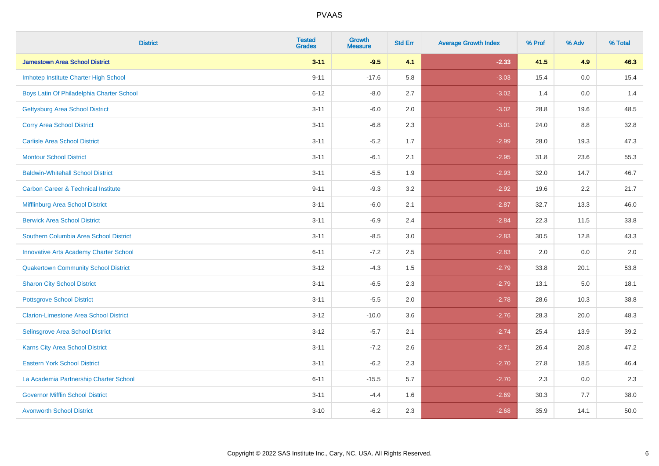| <b>District</b>                                | <b>Tested</b><br><b>Grades</b> | <b>Growth</b><br><b>Measure</b> | <b>Std Err</b> | <b>Average Growth Index</b> | % Prof | % Adv | % Total |
|------------------------------------------------|--------------------------------|---------------------------------|----------------|-----------------------------|--------|-------|---------|
| <b>Jamestown Area School District</b>          | $3 - 11$                       | $-9.5$                          | 4.1            | $-2.33$                     | 41.5   | 4.9   | 46.3    |
| Imhotep Institute Charter High School          | $9 - 11$                       | $-17.6$                         | 5.8            | $-3.03$                     | 15.4   | 0.0   | 15.4    |
| Boys Latin Of Philadelphia Charter School      | $6 - 12$                       | $-8.0$                          | 2.7            | $-3.02$                     | 1.4    | 0.0   | 1.4     |
| <b>Gettysburg Area School District</b>         | $3 - 11$                       | $-6.0$                          | 2.0            | $-3.02$                     | 28.8   | 19.6  | 48.5    |
| <b>Corry Area School District</b>              | $3 - 11$                       | $-6.8$                          | 2.3            | $-3.01$                     | 24.0   | 8.8   | 32.8    |
| <b>Carlisle Area School District</b>           | $3 - 11$                       | $-5.2$                          | 1.7            | $-2.99$                     | 28.0   | 19.3  | 47.3    |
| <b>Montour School District</b>                 | $3 - 11$                       | $-6.1$                          | 2.1            | $-2.95$                     | 31.8   | 23.6  | 55.3    |
| <b>Baldwin-Whitehall School District</b>       | $3 - 11$                       | $-5.5$                          | 1.9            | $-2.93$                     | 32.0   | 14.7  | 46.7    |
| <b>Carbon Career &amp; Technical Institute</b> | $9 - 11$                       | $-9.3$                          | 3.2            | $-2.92$                     | 19.6   | 2.2   | 21.7    |
| <b>Mifflinburg Area School District</b>        | $3 - 11$                       | $-6.0$                          | 2.1            | $-2.87$                     | 32.7   | 13.3  | 46.0    |
| <b>Berwick Area School District</b>            | $3 - 11$                       | $-6.9$                          | 2.4            | $-2.84$                     | 22.3   | 11.5  | 33.8    |
| Southern Columbia Area School District         | $3 - 11$                       | $-8.5$                          | 3.0            | $-2.83$                     | 30.5   | 12.8  | 43.3    |
| <b>Innovative Arts Academy Charter School</b>  | $6 - 11$                       | $-7.2$                          | 2.5            | $-2.83$                     | 2.0    | 0.0   | $2.0\,$ |
| <b>Quakertown Community School District</b>    | $3 - 12$                       | $-4.3$                          | $1.5$          | $-2.79$                     | 33.8   | 20.1  | 53.8    |
| <b>Sharon City School District</b>             | $3 - 11$                       | $-6.5$                          | 2.3            | $-2.79$                     | 13.1   | 5.0   | 18.1    |
| <b>Pottsgrove School District</b>              | $3 - 11$                       | $-5.5$                          | 2.0            | $-2.78$                     | 28.6   | 10.3  | 38.8    |
| <b>Clarion-Limestone Area School District</b>  | $3 - 12$                       | $-10.0$                         | 3.6            | $-2.76$                     | 28.3   | 20.0  | 48.3    |
| Selinsgrove Area School District               | $3 - 12$                       | $-5.7$                          | 2.1            | $-2.74$                     | 25.4   | 13.9  | 39.2    |
| <b>Karns City Area School District</b>         | $3 - 11$                       | $-7.2$                          | 2.6            | $-2.71$                     | 26.4   | 20.8  | 47.2    |
| <b>Eastern York School District</b>            | $3 - 11$                       | $-6.2$                          | 2.3            | $-2.70$                     | 27.8   | 18.5  | 46.4    |
| La Academia Partnership Charter School         | $6 - 11$                       | $-15.5$                         | 5.7            | $-2.70$                     | 2.3    | 0.0   | 2.3     |
| <b>Governor Mifflin School District</b>        | $3 - 11$                       | $-4.4$                          | 1.6            | $-2.69$                     | 30.3   | 7.7   | 38.0    |
| <b>Avonworth School District</b>               | $3 - 10$                       | $-6.2$                          | 2.3            | $-2.68$                     | 35.9   | 14.1  | 50.0    |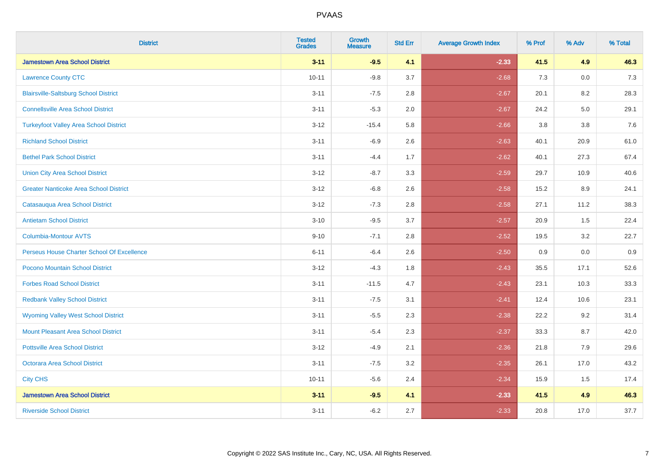| <b>District</b>                               | <b>Tested</b><br><b>Grades</b> | <b>Growth</b><br><b>Measure</b> | <b>Std Err</b> | <b>Average Growth Index</b> | % Prof | % Adv   | % Total |
|-----------------------------------------------|--------------------------------|---------------------------------|----------------|-----------------------------|--------|---------|---------|
| <b>Jamestown Area School District</b>         | $3 - 11$                       | $-9.5$                          | 4.1            | $-2.33$                     | 41.5   | 4.9     | 46.3    |
| <b>Lawrence County CTC</b>                    | $10 - 11$                      | $-9.8$                          | 3.7            | $-2.68$                     | 7.3    | $0.0\,$ | $7.3$   |
| <b>Blairsville-Saltsburg School District</b>  | $3 - 11$                       | $-7.5$                          | 2.8            | $-2.67$                     | 20.1   | 8.2     | 28.3    |
| <b>Connellsville Area School District</b>     | $3 - 11$                       | $-5.3$                          | 2.0            | $-2.67$                     | 24.2   | 5.0     | 29.1    |
| <b>Turkeyfoot Valley Area School District</b> | $3-12$                         | $-15.4$                         | 5.8            | $-2.66$                     | 3.8    | 3.8     | 7.6     |
| <b>Richland School District</b>               | $3 - 11$                       | $-6.9$                          | 2.6            | $-2.63$                     | 40.1   | 20.9    | 61.0    |
| <b>Bethel Park School District</b>            | $3 - 11$                       | $-4.4$                          | 1.7            | $-2.62$                     | 40.1   | 27.3    | 67.4    |
| <b>Union City Area School District</b>        | $3 - 12$                       | $-8.7$                          | 3.3            | $-2.59$                     | 29.7   | 10.9    | 40.6    |
| <b>Greater Nanticoke Area School District</b> | $3 - 12$                       | $-6.8$                          | 2.6            | $-2.58$                     | 15.2   | 8.9     | 24.1    |
| Catasauqua Area School District               | $3-12$                         | $-7.3$                          | 2.8            | $-2.58$                     | 27.1   | 11.2    | 38.3    |
| <b>Antietam School District</b>               | $3 - 10$                       | $-9.5$                          | 3.7            | $-2.57$                     | 20.9   | 1.5     | 22.4    |
| Columbia-Montour AVTS                         | $9 - 10$                       | $-7.1$                          | 2.8            | $-2.52$                     | 19.5   | 3.2     | 22.7    |
| Perseus House Charter School Of Excellence    | $6 - 11$                       | $-6.4$                          | 2.6            | $-2.50$                     | 0.9    | $0.0\,$ | 0.9     |
| Pocono Mountain School District               | $3 - 12$                       | $-4.3$                          | 1.8            | $-2.43$                     | 35.5   | 17.1    | 52.6    |
| <b>Forbes Road School District</b>            | $3 - 11$                       | $-11.5$                         | 4.7            | $-2.43$                     | 23.1   | 10.3    | 33.3    |
| <b>Redbank Valley School District</b>         | $3 - 11$                       | $-7.5$                          | 3.1            | $-2.41$                     | 12.4   | 10.6    | 23.1    |
| <b>Wyoming Valley West School District</b>    | $3 - 11$                       | $-5.5$                          | 2.3            | $-2.38$                     | 22.2   | 9.2     | 31.4    |
| <b>Mount Pleasant Area School District</b>    | $3 - 11$                       | $-5.4$                          | 2.3            | $-2.37$                     | 33.3   | 8.7     | 42.0    |
| <b>Pottsville Area School District</b>        | $3 - 12$                       | $-4.9$                          | 2.1            | $-2.36$                     | 21.8   | 7.9     | 29.6    |
| <b>Octorara Area School District</b>          | $3 - 11$                       | $-7.5$                          | 3.2            | $-2.35$                     | 26.1   | 17.0    | 43.2    |
| <b>City CHS</b>                               | $10 - 11$                      | $-5.6$                          | 2.4            | $-2.34$                     | 15.9   | 1.5     | 17.4    |
| <b>Jamestown Area School District</b>         | $3 - 11$                       | $-9.5$                          | 4.1            | $-2.33$                     | 41.5   | 4.9     | 46.3    |
| <b>Riverside School District</b>              | $3 - 11$                       | $-6.2$                          | 2.7            | $-2.33$                     | 20.8   | 17.0    | 37.7    |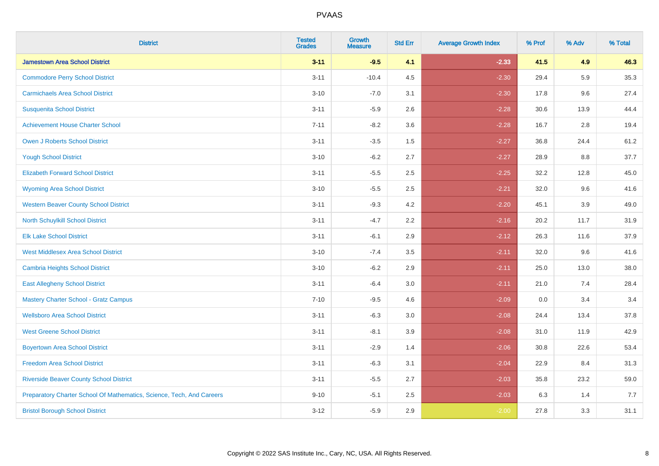| <b>District</b>                                                       | <b>Tested</b><br><b>Grades</b> | <b>Growth</b><br><b>Measure</b> | <b>Std Err</b> | <b>Average Growth Index</b> | % Prof | % Adv   | % Total |
|-----------------------------------------------------------------------|--------------------------------|---------------------------------|----------------|-----------------------------|--------|---------|---------|
| <b>Jamestown Area School District</b>                                 | $3 - 11$                       | $-9.5$                          | 4.1            | $-2.33$                     | 41.5   | 4.9     | 46.3    |
| <b>Commodore Perry School District</b>                                | $3 - 11$                       | $-10.4$                         | 4.5            | $-2.30$                     | 29.4   | 5.9     | 35.3    |
| <b>Carmichaels Area School District</b>                               | $3 - 10$                       | $-7.0$                          | 3.1            | $-2.30$                     | 17.8   | 9.6     | 27.4    |
| <b>Susquenita School District</b>                                     | $3 - 11$                       | $-5.9$                          | 2.6            | $-2.28$                     | 30.6   | 13.9    | 44.4    |
| <b>Achievement House Charter School</b>                               | $7 - 11$                       | $-8.2$                          | 3.6            | $-2.28$                     | 16.7   | 2.8     | 19.4    |
| <b>Owen J Roberts School District</b>                                 | $3 - 11$                       | $-3.5$                          | 1.5            | $-2.27$                     | 36.8   | 24.4    | 61.2    |
| <b>Yough School District</b>                                          | $3 - 10$                       | $-6.2$                          | 2.7            | $-2.27$                     | 28.9   | $8.8\,$ | 37.7    |
| <b>Elizabeth Forward School District</b>                              | $3 - 11$                       | $-5.5$                          | 2.5            | $-2.25$                     | 32.2   | 12.8    | 45.0    |
| <b>Wyoming Area School District</b>                                   | $3 - 10$                       | $-5.5$                          | 2.5            | $-2.21$                     | 32.0   | 9.6     | 41.6    |
| <b>Western Beaver County School District</b>                          | $3 - 11$                       | $-9.3$                          | 4.2            | $-2.20$                     | 45.1   | 3.9     | 49.0    |
| North Schuylkill School District                                      | $3 - 11$                       | $-4.7$                          | 2.2            | $-2.16$                     | 20.2   | 11.7    | 31.9    |
| <b>Elk Lake School District</b>                                       | $3 - 11$                       | $-6.1$                          | 2.9            | $-2.12$                     | 26.3   | 11.6    | 37.9    |
| <b>West Middlesex Area School District</b>                            | $3 - 10$                       | $-7.4$                          | $3.5\,$        | $-2.11$                     | 32.0   | 9.6     | 41.6    |
| Cambria Heights School District                                       | $3 - 10$                       | $-6.2$                          | 2.9            | $-2.11$                     | 25.0   | 13.0    | 38.0    |
| <b>East Allegheny School District</b>                                 | $3 - 11$                       | $-6.4$                          | 3.0            | $-2.11$                     | 21.0   | 7.4     | 28.4    |
| <b>Mastery Charter School - Gratz Campus</b>                          | $7 - 10$                       | $-9.5$                          | 4.6            | $-2.09$                     | 0.0    | 3.4     | 3.4     |
| <b>Wellsboro Area School District</b>                                 | $3 - 11$                       | $-6.3$                          | 3.0            | $-2.08$                     | 24.4   | 13.4    | 37.8    |
| <b>West Greene School District</b>                                    | $3 - 11$                       | $-8.1$                          | 3.9            | $-2.08$                     | 31.0   | 11.9    | 42.9    |
| <b>Boyertown Area School District</b>                                 | $3 - 11$                       | $-2.9$                          | 1.4            | $-2.06$                     | 30.8   | 22.6    | 53.4    |
| <b>Freedom Area School District</b>                                   | $3 - 11$                       | $-6.3$                          | 3.1            | $-2.04$                     | 22.9   | 8.4     | 31.3    |
| <b>Riverside Beaver County School District</b>                        | $3 - 11$                       | $-5.5$                          | 2.7            | $-2.03$                     | 35.8   | 23.2    | 59.0    |
| Preparatory Charter School Of Mathematics, Science, Tech, And Careers | $9 - 10$                       | $-5.1$                          | 2.5            | $-2.03$                     | 6.3    | 1.4     | 7.7     |
| <b>Bristol Borough School District</b>                                | $3 - 12$                       | $-5.9$                          | 2.9            | $-2.00$                     | 27.8   | 3.3     | 31.1    |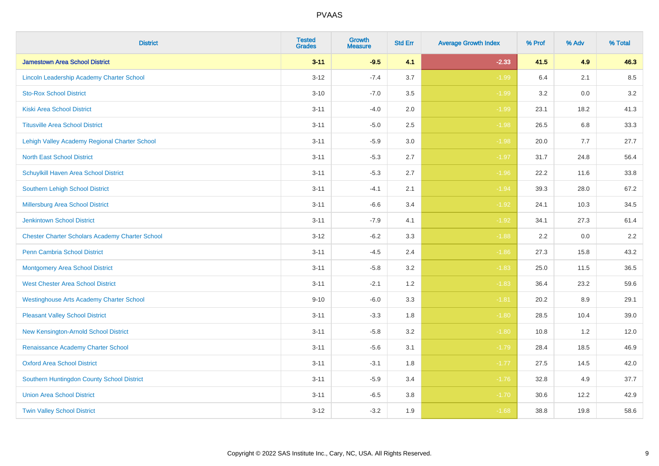| <b>District</b>                                        | <b>Tested</b><br><b>Grades</b> | <b>Growth</b><br><b>Measure</b> | <b>Std Err</b> | <b>Average Growth Index</b> | % Prof | % Adv | % Total |
|--------------------------------------------------------|--------------------------------|---------------------------------|----------------|-----------------------------|--------|-------|---------|
| <b>Jamestown Area School District</b>                  | $3 - 11$                       | $-9.5$                          | 4.1            | $-2.33$                     | 41.5   | 4.9   | 46.3    |
| Lincoln Leadership Academy Charter School              | $3 - 12$                       | $-7.4$                          | 3.7            | $-1.99$                     | 6.4    | 2.1   | 8.5     |
| <b>Sto-Rox School District</b>                         | $3 - 10$                       | $-7.0$                          | 3.5            | $-1.99$                     | 3.2    | 0.0   | 3.2     |
| <b>Kiski Area School District</b>                      | $3 - 11$                       | $-4.0$                          | 2.0            | $-1.99$                     | 23.1   | 18.2  | 41.3    |
| <b>Titusville Area School District</b>                 | $3 - 11$                       | $-5.0$                          | 2.5            | $-1.98$                     | 26.5   | 6.8   | 33.3    |
| Lehigh Valley Academy Regional Charter School          | $3 - 11$                       | $-5.9$                          | 3.0            | $-1.98$                     | 20.0   | 7.7   | 27.7    |
| <b>North East School District</b>                      | $3 - 11$                       | $-5.3$                          | 2.7            | $-1.97$                     | 31.7   | 24.8  | 56.4    |
| <b>Schuylkill Haven Area School District</b>           | $3 - 11$                       | $-5.3$                          | 2.7            | $-1.96$                     | 22.2   | 11.6  | 33.8    |
| Southern Lehigh School District                        | $3 - 11$                       | $-4.1$                          | 2.1            | $-1.94$                     | 39.3   | 28.0  | 67.2    |
| Millersburg Area School District                       | $3 - 11$                       | $-6.6$                          | 3.4            | $-1.92$                     | 24.1   | 10.3  | 34.5    |
| <b>Jenkintown School District</b>                      | $3 - 11$                       | $-7.9$                          | 4.1            | $-1.92$                     | 34.1   | 27.3  | 61.4    |
| <b>Chester Charter Scholars Academy Charter School</b> | $3 - 12$                       | $-6.2$                          | 3.3            | $-1.88$                     | 2.2    | 0.0   | 2.2     |
| Penn Cambria School District                           | $3 - 11$                       | $-4.5$                          | 2.4            | $-1.86$                     | 27.3   | 15.8  | 43.2    |
| <b>Montgomery Area School District</b>                 | $3 - 11$                       | $-5.8$                          | 3.2            | $-1.83$                     | 25.0   | 11.5  | 36.5    |
| <b>West Chester Area School District</b>               | $3 - 11$                       | $-2.1$                          | 1.2            | $-1.83$                     | 36.4   | 23.2  | 59.6    |
| <b>Westinghouse Arts Academy Charter School</b>        | $9 - 10$                       | $-6.0$                          | 3.3            | $-1.81$                     | 20.2   | 8.9   | 29.1    |
| <b>Pleasant Valley School District</b>                 | $3 - 11$                       | $-3.3$                          | 1.8            | $-1.80$                     | 28.5   | 10.4  | 39.0    |
| New Kensington-Arnold School District                  | $3 - 11$                       | $-5.8$                          | 3.2            | $-1.80$                     | 10.8   | 1.2   | 12.0    |
| Renaissance Academy Charter School                     | $3 - 11$                       | $-5.6$                          | 3.1            | $-1.79$                     | 28.4   | 18.5  | 46.9    |
| <b>Oxford Area School District</b>                     | $3 - 11$                       | $-3.1$                          | 1.8            | $-1.77$                     | 27.5   | 14.5  | 42.0    |
| Southern Huntingdon County School District             | $3 - 11$                       | $-5.9$                          | 3.4            | $-1.76$                     | 32.8   | 4.9   | 37.7    |
| <b>Union Area School District</b>                      | $3 - 11$                       | $-6.5$                          | 3.8            | $-1.70$                     | 30.6   | 12.2  | 42.9    |
| <b>Twin Valley School District</b>                     | $3 - 12$                       | $-3.2$                          | 1.9            | $-1.68$                     | 38.8   | 19.8  | 58.6    |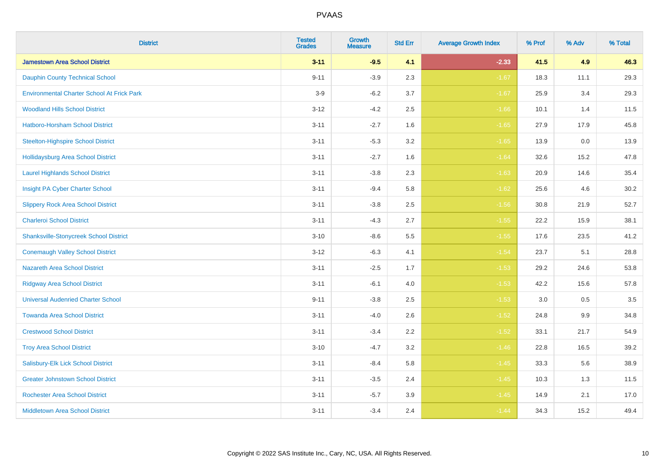| <b>District</b>                                   | <b>Tested</b><br><b>Grades</b> | <b>Growth</b><br><b>Measure</b> | <b>Std Err</b> | <b>Average Growth Index</b> | % Prof | % Adv | % Total |
|---------------------------------------------------|--------------------------------|---------------------------------|----------------|-----------------------------|--------|-------|---------|
| <b>Jamestown Area School District</b>             | $3 - 11$                       | $-9.5$                          | 4.1            | $-2.33$                     | 41.5   | 4.9   | 46.3    |
| <b>Dauphin County Technical School</b>            | $9 - 11$                       | $-3.9$                          | 2.3            | $-1.67$                     | 18.3   | 11.1  | 29.3    |
| <b>Environmental Charter School At Frick Park</b> | $3-9$                          | $-6.2$                          | 3.7            | $-1.67$                     | 25.9   | 3.4   | 29.3    |
| <b>Woodland Hills School District</b>             | $3 - 12$                       | $-4.2$                          | 2.5            | $-1.66$                     | 10.1   | 1.4   | 11.5    |
| Hatboro-Horsham School District                   | $3 - 11$                       | $-2.7$                          | 1.6            | $-1.65$                     | 27.9   | 17.9  | 45.8    |
| <b>Steelton-Highspire School District</b>         | $3 - 11$                       | $-5.3$                          | 3.2            | $-1.65$                     | 13.9   | 0.0   | 13.9    |
| <b>Hollidaysburg Area School District</b>         | $3 - 11$                       | $-2.7$                          | 1.6            | $-1.64$                     | 32.6   | 15.2  | 47.8    |
| <b>Laurel Highlands School District</b>           | $3 - 11$                       | $-3.8$                          | 2.3            | $-1.63$                     | 20.9   | 14.6  | 35.4    |
| Insight PA Cyber Charter School                   | $3 - 11$                       | $-9.4$                          | 5.8            | $-1.62$                     | 25.6   | 4.6   | 30.2    |
| <b>Slippery Rock Area School District</b>         | $3 - 11$                       | $-3.8$                          | 2.5            | $-1.56$                     | 30.8   | 21.9  | 52.7    |
| <b>Charleroi School District</b>                  | $3 - 11$                       | $-4.3$                          | 2.7            | $-1.55$                     | 22.2   | 15.9  | 38.1    |
| <b>Shanksville-Stonycreek School District</b>     | $3 - 10$                       | $-8.6$                          | 5.5            | $-1.55$                     | 17.6   | 23.5  | 41.2    |
| <b>Conemaugh Valley School District</b>           | $3 - 12$                       | $-6.3$                          | 4.1            | $-1.54$                     | 23.7   | 5.1   | 28.8    |
| <b>Nazareth Area School District</b>              | $3 - 11$                       | $-2.5$                          | 1.7            | $-1.53$                     | 29.2   | 24.6  | 53.8    |
| <b>Ridgway Area School District</b>               | $3 - 11$                       | $-6.1$                          | 4.0            | $-1.53$                     | 42.2   | 15.6  | 57.8    |
| <b>Universal Audenried Charter School</b>         | $9 - 11$                       | $-3.8$                          | 2.5            | $-1.53$                     | 3.0    | 0.5   | 3.5     |
| <b>Towanda Area School District</b>               | $3 - 11$                       | $-4.0$                          | 2.6            | $-1.52$                     | 24.8   | 9.9   | 34.8    |
| <b>Crestwood School District</b>                  | $3 - 11$                       | $-3.4$                          | 2.2            | $-1.52$                     | 33.1   | 21.7  | 54.9    |
| <b>Troy Area School District</b>                  | $3 - 10$                       | $-4.7$                          | 3.2            | $-1.46$                     | 22.8   | 16.5  | 39.2    |
| Salisbury-Elk Lick School District                | $3 - 11$                       | $-8.4$                          | 5.8            | $-1.45$                     | 33.3   | 5.6   | 38.9    |
| <b>Greater Johnstown School District</b>          | $3 - 11$                       | $-3.5$                          | 2.4            | $-1.45$                     | 10.3   | 1.3   | 11.5    |
| <b>Rochester Area School District</b>             | $3 - 11$                       | $-5.7$                          | 3.9            | $-1.45$                     | 14.9   | 2.1   | 17.0    |
| <b>Middletown Area School District</b>            | $3 - 11$                       | $-3.4$                          | 2.4            | $-1.44$                     | 34.3   | 15.2  | 49.4    |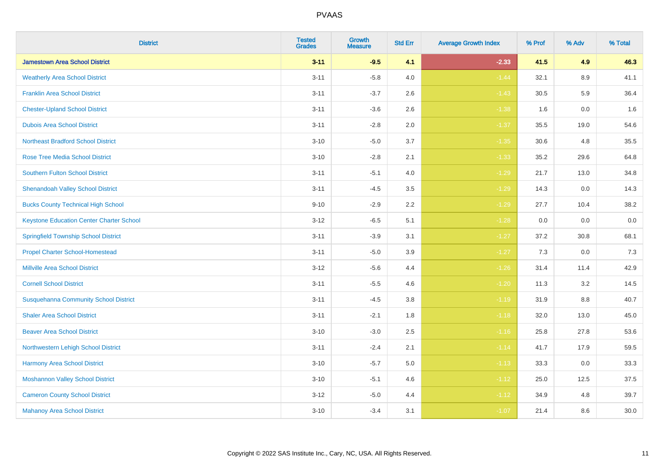| <b>District</b>                                 | <b>Tested</b><br><b>Grades</b> | <b>Growth</b><br><b>Measure</b> | <b>Std Err</b> | <b>Average Growth Index</b> | % Prof | % Adv   | % Total |
|-------------------------------------------------|--------------------------------|---------------------------------|----------------|-----------------------------|--------|---------|---------|
| <b>Jamestown Area School District</b>           | $3 - 11$                       | $-9.5$                          | 4.1            | $-2.33$                     | 41.5   | 4.9     | 46.3    |
| <b>Weatherly Area School District</b>           | $3 - 11$                       | $-5.8$                          | 4.0            | $-1.44$                     | 32.1   | $8.9\,$ | 41.1    |
| <b>Franklin Area School District</b>            | $3 - 11$                       | $-3.7$                          | 2.6            | $-1.43$                     | 30.5   | 5.9     | 36.4    |
| <b>Chester-Upland School District</b>           | $3 - 11$                       | $-3.6$                          | 2.6            | $-1.38$                     | 1.6    | $0.0\,$ | 1.6     |
| <b>Dubois Area School District</b>              | $3 - 11$                       | $-2.8$                          | 2.0            | $-1.37$                     | 35.5   | 19.0    | 54.6    |
| <b>Northeast Bradford School District</b>       | $3 - 10$                       | $-5.0$                          | 3.7            | $-1.35$                     | 30.6   | 4.8     | 35.5    |
| <b>Rose Tree Media School District</b>          | $3 - 10$                       | $-2.8$                          | 2.1            | $-1.33$                     | 35.2   | 29.6    | 64.8    |
| <b>Southern Fulton School District</b>          | $3 - 11$                       | $-5.1$                          | 4.0            | $-1.29$                     | 21.7   | 13.0    | 34.8    |
| <b>Shenandoah Valley School District</b>        | $3 - 11$                       | $-4.5$                          | 3.5            | $-1.29$                     | 14.3   | 0.0     | 14.3    |
| <b>Bucks County Technical High School</b>       | $9 - 10$                       | $-2.9$                          | 2.2            | $-1.29$                     | 27.7   | 10.4    | 38.2    |
| <b>Keystone Education Center Charter School</b> | $3 - 12$                       | $-6.5$                          | 5.1            | $-1.28$                     | 0.0    | 0.0     | $0.0\,$ |
| <b>Springfield Township School District</b>     | $3 - 11$                       | $-3.9$                          | 3.1            | $-1.27$                     | 37.2   | 30.8    | 68.1    |
| <b>Propel Charter School-Homestead</b>          | $3 - 11$                       | $-5.0$                          | 3.9            | $-1.27$                     | 7.3    | 0.0     | $7.3$   |
| <b>Millville Area School District</b>           | $3 - 12$                       | $-5.6$                          | 4.4            | $-1.26$                     | 31.4   | 11.4    | 42.9    |
| <b>Cornell School District</b>                  | $3 - 11$                       | $-5.5$                          | 4.6            | $-1.20$                     | 11.3   | 3.2     | 14.5    |
| <b>Susquehanna Community School District</b>    | $3 - 11$                       | $-4.5$                          | $3.8\,$        | $-1.19$                     | 31.9   | $8.8\,$ | 40.7    |
| <b>Shaler Area School District</b>              | $3 - 11$                       | $-2.1$                          | 1.8            | $-1.18$                     | 32.0   | 13.0    | 45.0    |
| <b>Beaver Area School District</b>              | $3 - 10$                       | $-3.0$                          | 2.5            | $-1.16$                     | 25.8   | 27.8    | 53.6    |
| Northwestern Lehigh School District             | $3 - 11$                       | $-2.4$                          | 2.1            | $-1.14$                     | 41.7   | 17.9    | 59.5    |
| Harmony Area School District                    | $3 - 10$                       | $-5.7$                          | 5.0            | $-1.13$                     | 33.3   | 0.0     | 33.3    |
| <b>Moshannon Valley School District</b>         | $3 - 10$                       | $-5.1$                          | 4.6            | $-1.12$                     | 25.0   | 12.5    | 37.5    |
| <b>Cameron County School District</b>           | $3 - 12$                       | $-5.0$                          | 4.4            | $-1.12$                     | 34.9   | 4.8     | 39.7    |
| <b>Mahanoy Area School District</b>             | $3 - 10$                       | $-3.4$                          | 3.1            | $-1.07$                     | 21.4   | 8.6     | 30.0    |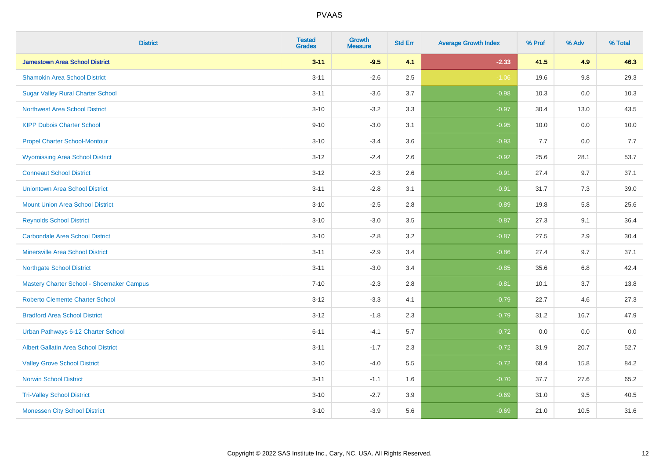| <b>District</b>                             | <b>Tested</b><br><b>Grades</b> | <b>Growth</b><br><b>Measure</b> | <b>Std Err</b> | <b>Average Growth Index</b> | % Prof | % Adv   | % Total |
|---------------------------------------------|--------------------------------|---------------------------------|----------------|-----------------------------|--------|---------|---------|
| <b>Jamestown Area School District</b>       | $3 - 11$                       | $-9.5$                          | 4.1            | $-2.33$                     | 41.5   | 4.9     | 46.3    |
| <b>Shamokin Area School District</b>        | $3 - 11$                       | $-2.6$                          | 2.5            | $-1.06$                     | 19.6   | $9.8\,$ | 29.3    |
| <b>Sugar Valley Rural Charter School</b>    | $3 - 11$                       | $-3.6$                          | 3.7            | $-0.98$                     | 10.3   | 0.0     | 10.3    |
| <b>Northwest Area School District</b>       | $3 - 10$                       | $-3.2$                          | 3.3            | $-0.97$                     | 30.4   | 13.0    | 43.5    |
| <b>KIPP Dubois Charter School</b>           | $9 - 10$                       | $-3.0$                          | 3.1            | $-0.95$                     | 10.0   | 0.0     | 10.0    |
| <b>Propel Charter School-Montour</b>        | $3 - 10$                       | $-3.4$                          | 3.6            | $-0.93$                     | 7.7    | 0.0     | 7.7     |
| <b>Wyomissing Area School District</b>      | $3 - 12$                       | $-2.4$                          | 2.6            | $-0.92$                     | 25.6   | 28.1    | 53.7    |
| <b>Conneaut School District</b>             | $3 - 12$                       | $-2.3$                          | 2.6            | $-0.91$                     | 27.4   | 9.7     | 37.1    |
| <b>Uniontown Area School District</b>       | $3 - 11$                       | $-2.8$                          | 3.1            | $-0.91$                     | 31.7   | 7.3     | 39.0    |
| <b>Mount Union Area School District</b>     | $3 - 10$                       | $-2.5$                          | 2.8            | $-0.89$                     | 19.8   | 5.8     | 25.6    |
| <b>Reynolds School District</b>             | $3 - 10$                       | $-3.0$                          | 3.5            | $-0.87$                     | 27.3   | 9.1     | 36.4    |
| <b>Carbondale Area School District</b>      | $3 - 10$                       | $-2.8$                          | 3.2            | $-0.87$                     | 27.5   | 2.9     | 30.4    |
| <b>Minersville Area School District</b>     | $3 - 11$                       | $-2.9$                          | 3.4            | $-0.86$                     | 27.4   | 9.7     | 37.1    |
| <b>Northgate School District</b>            | $3 - 11$                       | $-3.0$                          | 3.4            | $-0.85$                     | 35.6   | 6.8     | 42.4    |
| Mastery Charter School - Shoemaker Campus   | $7 - 10$                       | $-2.3$                          | 2.8            | $-0.81$                     | 10.1   | 3.7     | 13.8    |
| <b>Roberto Clemente Charter School</b>      | $3 - 12$                       | $-3.3$                          | 4.1            | $-0.79$                     | 22.7   | 4.6     | 27.3    |
| <b>Bradford Area School District</b>        | $3 - 12$                       | $-1.8$                          | 2.3            | $-0.79$                     | 31.2   | 16.7    | 47.9    |
| Urban Pathways 6-12 Charter School          | $6 - 11$                       | $-4.1$                          | 5.7            | $-0.72$                     | 0.0    | 0.0     | $0.0\,$ |
| <b>Albert Gallatin Area School District</b> | $3 - 11$                       | $-1.7$                          | 2.3            | $-0.72$                     | 31.9   | 20.7    | 52.7    |
| <b>Valley Grove School District</b>         | $3 - 10$                       | $-4.0$                          | 5.5            | $-0.72$                     | 68.4   | 15.8    | 84.2    |
| <b>Norwin School District</b>               | $3 - 11$                       | $-1.1$                          | 1.6            | $-0.70$                     | 37.7   | 27.6    | 65.2    |
| <b>Tri-Valley School District</b>           | $3 - 10$                       | $-2.7$                          | 3.9            | $-0.69$                     | 31.0   | 9.5     | 40.5    |
| <b>Monessen City School District</b>        | $3 - 10$                       | $-3.9$                          | 5.6            | $-0.69$                     | 21.0   | 10.5    | 31.6    |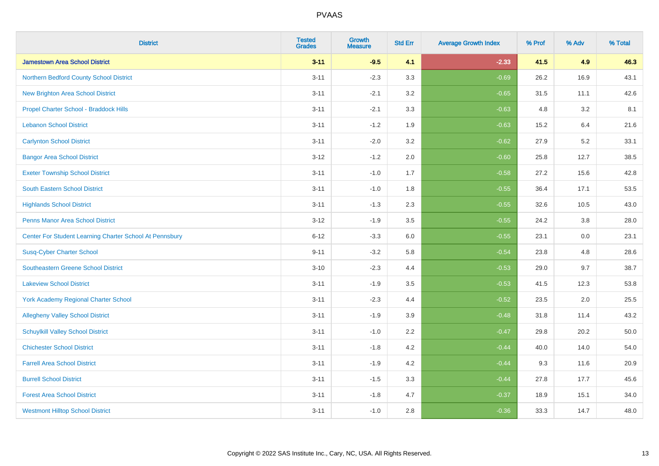| <b>District</b>                                         | <b>Tested</b><br><b>Grades</b> | <b>Growth</b><br><b>Measure</b> | <b>Std Err</b> | <b>Average Growth Index</b> | % Prof | % Adv | % Total |
|---------------------------------------------------------|--------------------------------|---------------------------------|----------------|-----------------------------|--------|-------|---------|
| <b>Jamestown Area School District</b>                   | $3 - 11$                       | $-9.5$                          | 4.1            | $-2.33$                     | 41.5   | 4.9   | 46.3    |
| Northern Bedford County School District                 | $3 - 11$                       | $-2.3$                          | 3.3            | $-0.69$                     | 26.2   | 16.9  | 43.1    |
| <b>New Brighton Area School District</b>                | $3 - 11$                       | $-2.1$                          | 3.2            | $-0.65$                     | 31.5   | 11.1  | 42.6    |
| Propel Charter School - Braddock Hills                  | $3 - 11$                       | $-2.1$                          | 3.3            | $-0.63$                     | 4.8    | 3.2   | 8.1     |
| <b>Lebanon School District</b>                          | $3 - 11$                       | $-1.2$                          | 1.9            | $-0.63$                     | 15.2   | 6.4   | 21.6    |
| <b>Carlynton School District</b>                        | $3 - 11$                       | $-2.0$                          | 3.2            | $-0.62$                     | 27.9   | 5.2   | 33.1    |
| <b>Bangor Area School District</b>                      | $3 - 12$                       | $-1.2$                          | 2.0            | $-0.60$                     | 25.8   | 12.7  | 38.5    |
| <b>Exeter Township School District</b>                  | $3 - 11$                       | $-1.0$                          | 1.7            | $-0.58$                     | 27.2   | 15.6  | 42.8    |
| <b>South Eastern School District</b>                    | $3 - 11$                       | $-1.0$                          | 1.8            | $-0.55$                     | 36.4   | 17.1  | 53.5    |
| <b>Highlands School District</b>                        | $3 - 11$                       | $-1.3$                          | 2.3            | $-0.55$                     | 32.6   | 10.5  | 43.0    |
| <b>Penns Manor Area School District</b>                 | $3 - 12$                       | $-1.9$                          | 3.5            | $-0.55$                     | 24.2   | 3.8   | 28.0    |
| Center For Student Learning Charter School At Pennsbury | $6 - 12$                       | $-3.3$                          | 6.0            | $-0.55$                     | 23.1   | 0.0   | 23.1    |
| <b>Susq-Cyber Charter School</b>                        | $9 - 11$                       | $-3.2$                          | 5.8            | $-0.54$                     | 23.8   | 4.8   | 28.6    |
| Southeastern Greene School District                     | $3 - 10$                       | $-2.3$                          | 4.4            | $-0.53$                     | 29.0   | 9.7   | 38.7    |
| <b>Lakeview School District</b>                         | $3 - 11$                       | $-1.9$                          | 3.5            | $-0.53$                     | 41.5   | 12.3  | 53.8    |
| <b>York Academy Regional Charter School</b>             | $3 - 11$                       | $-2.3$                          | 4.4            | $-0.52$                     | 23.5   | 2.0   | 25.5    |
| <b>Allegheny Valley School District</b>                 | $3 - 11$                       | $-1.9$                          | 3.9            | $-0.48$                     | 31.8   | 11.4  | 43.2    |
| <b>Schuylkill Valley School District</b>                | $3 - 11$                       | $-1.0$                          | 2.2            | $-0.47$                     | 29.8   | 20.2  | 50.0    |
| <b>Chichester School District</b>                       | $3 - 11$                       | $-1.8$                          | 4.2            | $-0.44$                     | 40.0   | 14.0  | 54.0    |
| <b>Farrell Area School District</b>                     | $3 - 11$                       | $-1.9$                          | 4.2            | $-0.44$                     | 9.3    | 11.6  | 20.9    |
| <b>Burrell School District</b>                          | $3 - 11$                       | $-1.5$                          | 3.3            | $-0.44$                     | 27.8   | 17.7  | 45.6    |
| <b>Forest Area School District</b>                      | $3 - 11$                       | $-1.8$                          | 4.7            | $-0.37$                     | 18.9   | 15.1  | 34.0    |
| <b>Westmont Hilltop School District</b>                 | $3 - 11$                       | $-1.0$                          | 2.8            | $-0.36$                     | 33.3   | 14.7  | 48.0    |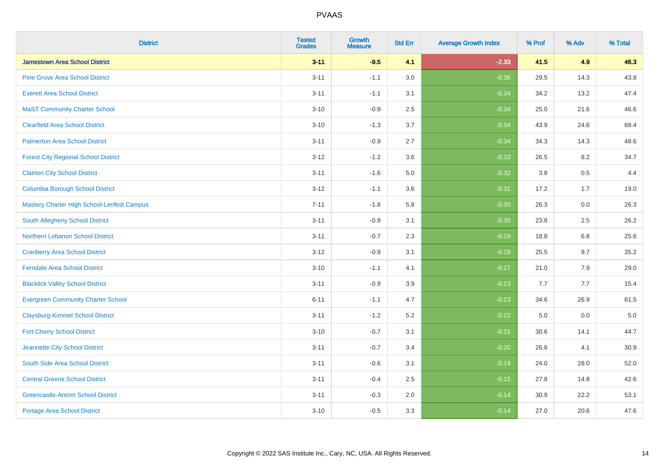| <b>District</b>                             | <b>Tested</b><br><b>Grades</b> | Growth<br><b>Measure</b> | <b>Std Err</b> | <b>Average Growth Index</b> | % Prof | % Adv | % Total |
|---------------------------------------------|--------------------------------|--------------------------|----------------|-----------------------------|--------|-------|---------|
| <b>Jamestown Area School District</b>       | $3 - 11$                       | $-9.5$                   | 4.1            | $-2.33$                     | 41.5   | 4.9   | 46.3    |
| <b>Pine Grove Area School District</b>      | $3 - 11$                       | $-1.1$                   | 3.0            | $-0.36$                     | 29.5   | 14.3  | 43.8    |
| <b>Everett Area School District</b>         | $3 - 11$                       | $-1.1$                   | 3.1            | $-0.34$                     | 34.2   | 13.2  | 47.4    |
| <b>MaST Community Charter School</b>        | $3 - 10$                       | $-0.9$                   | 2.5            | $-0.34$                     | 25.0   | 21.6  | 46.6    |
| <b>Clearfield Area School District</b>      | $3 - 10$                       | $-1.3$                   | 3.7            | $-0.34$                     | 43.9   | 24.6  | 68.4    |
| <b>Palmerton Area School District</b>       | $3 - 11$                       | $-0.9$                   | 2.7            | $-0.34$                     | 34.3   | 14.3  | 48.6    |
| <b>Forest City Regional School District</b> | $3 - 12$                       | $-1.2$                   | 3.6            | $-0.33$                     | 26.5   | 8.2   | 34.7    |
| <b>Clairton City School District</b>        | $3 - 11$                       | $-1.6$                   | $5.0\,$        | $-0.32$                     | 3.8    | 0.5   | 4.4     |
| <b>Columbia Borough School District</b>     | $3 - 12$                       | $-1.1$                   | 3.6            | $-0.31$                     | 17.2   | 1.7   | 19.0    |
| Mastery Charter High School-Lenfest Campus  | $7 - 11$                       | $-1.8$                   | 5.8            | $-0.30$                     | 26.3   | 0.0   | 26.3    |
| South Allegheny School District             | $3 - 11$                       | $-0.9$                   | 3.1            | $-0.30$                     | 23.8   | 2.5   | 26.2    |
| Northern Lebanon School District            | $3 - 11$                       | $-0.7$                   | 2.3            | $-0.29$                     | 18.8   | 6.8   | 25.6    |
| <b>Cranberry Area School District</b>       | $3 - 12$                       | $-0.9$                   | 3.1            | $-0.29$                     | 25.5   | 9.7   | 35.2    |
| <b>Ferndale Area School District</b>        | $3 - 10$                       | $-1.1$                   | 4.1            | $-0.27$                     | 21.0   | 7.9   | 29.0    |
| <b>Blacklick Valley School District</b>     | $3 - 11$                       | $-0.9$                   | 3.9            | $-0.23$                     | 7.7    | 7.7   | 15.4    |
| <b>Evergreen Community Charter School</b>   | $6 - 11$                       | $-1.1$                   | 4.7            | $-0.23$                     | 34.6   | 26.9  | 61.5    |
| <b>Claysburg-Kimmel School District</b>     | $3 - 11$                       | $-1.2$                   | 5.2            | $-0.22$                     | 5.0    | 0.0   | $5.0$   |
| <b>Fort Cherry School District</b>          | $3 - 10$                       | $-0.7$                   | 3.1            | $-0.21$                     | 30.6   | 14.1  | 44.7    |
| Jeannette City School District              | $3 - 11$                       | $-0.7$                   | 3.4            | $-0.20$                     | 26.8   | 4.1   | 30.9    |
| South Side Area School District             | $3 - 11$                       | $-0.6$                   | 3.1            | $-0.19$                     | 24.0   | 28.0  | 52.0    |
| <b>Central Greene School District</b>       | $3 - 11$                       | $-0.4$                   | 2.5            | $-0.15$                     | 27.8   | 14.8  | 42.6    |
| <b>Greencastle-Antrim School District</b>   | $3 - 11$                       | $-0.3$                   | 2.0            | $-0.14$                     | 30.9   | 22.2  | 53.1    |
| <b>Portage Area School District</b>         | $3 - 10$                       | $-0.5$                   | 3.3            | $-0.14$                     | 27.0   | 20.6  | 47.6    |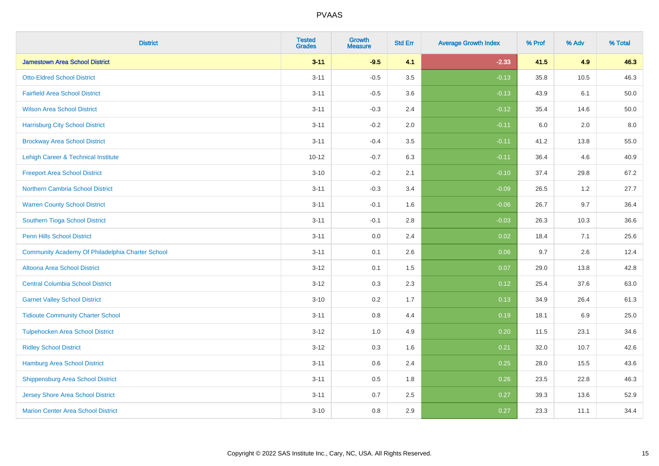| <b>District</b>                                  | <b>Tested</b><br><b>Grades</b> | <b>Growth</b><br><b>Measure</b> | <b>Std Err</b> | <b>Average Growth Index</b> | % Prof | % Adv   | % Total |
|--------------------------------------------------|--------------------------------|---------------------------------|----------------|-----------------------------|--------|---------|---------|
| <b>Jamestown Area School District</b>            | $3 - 11$                       | $-9.5$                          | 4.1            | $-2.33$                     | 41.5   | 4.9     | 46.3    |
| <b>Otto-Eldred School District</b>               | $3 - 11$                       | $-0.5$                          | 3.5            | $-0.13$                     | 35.8   | 10.5    | 46.3    |
| <b>Fairfield Area School District</b>            | $3 - 11$                       | $-0.5$                          | 3.6            | $-0.13$                     | 43.9   | 6.1     | 50.0    |
| <b>Wilson Area School District</b>               | $3 - 11$                       | $-0.3$                          | 2.4            | $-0.12$                     | 35.4   | 14.6    | 50.0    |
| <b>Harrisburg City School District</b>           | $3 - 11$                       | $-0.2$                          | 2.0            | $-0.11$                     | 6.0    | 2.0     | 8.0     |
| <b>Brockway Area School District</b>             | $3 - 11$                       | $-0.4$                          | 3.5            | $-0.11$                     | 41.2   | 13.8    | 55.0    |
| Lehigh Career & Technical Institute              | $10 - 12$                      | $-0.7$                          | 6.3            | $-0.11$                     | 36.4   | 4.6     | 40.9    |
| <b>Freeport Area School District</b>             | $3 - 10$                       | $-0.2$                          | 2.1            | $-0.10$                     | 37.4   | 29.8    | 67.2    |
| <b>Northern Cambria School District</b>          | $3 - 11$                       | $-0.3$                          | 3.4            | $-0.09$                     | 26.5   | 1.2     | 27.7    |
| <b>Warren County School District</b>             | $3 - 11$                       | $-0.1$                          | 1.6            | $-0.06$                     | 26.7   | 9.7     | 36.4    |
| Southern Tioga School District                   | $3 - 11$                       | $-0.1$                          | 2.8            | $-0.03$                     | 26.3   | 10.3    | 36.6    |
| <b>Penn Hills School District</b>                | $3 - 11$                       | 0.0                             | 2.4            | 0.02                        | 18.4   | 7.1     | 25.6    |
| Community Academy Of Philadelphia Charter School | $3 - 11$                       | 0.1                             | 2.6            | 0.06                        | 9.7    | $2.6\,$ | 12.4    |
| Altoona Area School District                     | $3 - 12$                       | 0.1                             | 1.5            | 0.07                        | 29.0   | 13.8    | 42.8    |
| <b>Central Columbia School District</b>          | $3 - 12$                       | 0.3                             | 2.3            | 0.12                        | 25.4   | 37.6    | 63.0    |
| <b>Garnet Valley School District</b>             | $3 - 10$                       | 0.2                             | 1.7            | 0.13                        | 34.9   | 26.4    | 61.3    |
| <b>Tidioute Community Charter School</b>         | $3 - 11$                       | 0.8                             | 4.4            | 0.19                        | 18.1   | 6.9     | 25.0    |
| <b>Tulpehocken Area School District</b>          | $3 - 12$                       | 1.0                             | 4.9            | 0.20                        | 11.5   | 23.1    | 34.6    |
| <b>Ridley School District</b>                    | $3 - 12$                       | 0.3                             | 1.6            | 0.21                        | 32.0   | 10.7    | 42.6    |
| <b>Hamburg Area School District</b>              | $3 - 11$                       | $0.6\,$                         | 2.4            | 0.25                        | 28.0   | 15.5    | 43.6    |
| <b>Shippensburg Area School District</b>         | $3 - 11$                       | 0.5                             | 1.8            | 0.26                        | 23.5   | 22.8    | 46.3    |
| <b>Jersey Shore Area School District</b>         | $3 - 11$                       | 0.7                             | 2.5            | 0.27                        | 39.3   | 13.6    | 52.9    |
| <b>Marion Center Area School District</b>        | $3 - 10$                       | 0.8                             | 2.9            | 0.27                        | 23.3   | 11.1    | 34.4    |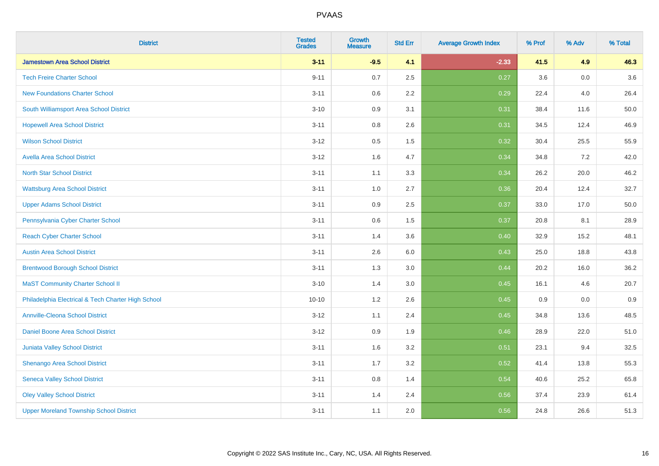| <b>District</b>                                    | <b>Tested</b><br><b>Grades</b> | <b>Growth</b><br><b>Measure</b> | <b>Std Err</b> | <b>Average Growth Index</b> | % Prof | % Adv   | % Total |
|----------------------------------------------------|--------------------------------|---------------------------------|----------------|-----------------------------|--------|---------|---------|
| <b>Jamestown Area School District</b>              | $3 - 11$                       | $-9.5$                          | 4.1            | $-2.33$                     | 41.5   | 4.9     | 46.3    |
| <b>Tech Freire Charter School</b>                  | $9 - 11$                       | 0.7                             | 2.5            | 0.27                        | 3.6    | 0.0     | 3.6     |
| <b>New Foundations Charter School</b>              | $3 - 11$                       | 0.6                             | 2.2            | 0.29                        | 22.4   | 4.0     | 26.4    |
| South Williamsport Area School District            | $3 - 10$                       | 0.9                             | 3.1            | 0.31                        | 38.4   | 11.6    | 50.0    |
| <b>Hopewell Area School District</b>               | $3 - 11$                       | 0.8                             | 2.6            | 0.31                        | 34.5   | 12.4    | 46.9    |
| <b>Wilson School District</b>                      | $3 - 12$                       | 0.5                             | 1.5            | 0.32                        | 30.4   | 25.5    | 55.9    |
| <b>Avella Area School District</b>                 | $3 - 12$                       | 1.6                             | 4.7            | 0.34                        | 34.8   | 7.2     | 42.0    |
| <b>North Star School District</b>                  | $3 - 11$                       | 1.1                             | 3.3            | 0.34                        | 26.2   | 20.0    | 46.2    |
| <b>Wattsburg Area School District</b>              | $3 - 11$                       | 1.0                             | 2.7            | 0.36                        | 20.4   | 12.4    | 32.7    |
| <b>Upper Adams School District</b>                 | $3 - 11$                       | 0.9                             | 2.5            | 0.37                        | 33.0   | 17.0    | 50.0    |
| Pennsylvania Cyber Charter School                  | $3 - 11$                       | 0.6                             | 1.5            | 0.37                        | 20.8   | 8.1     | 28.9    |
| <b>Reach Cyber Charter School</b>                  | $3 - 11$                       | 1.4                             | 3.6            | 0.40                        | 32.9   | 15.2    | 48.1    |
| <b>Austin Area School District</b>                 | $3 - 11$                       | 2.6                             | 6.0            | 0.43                        | 25.0   | 18.8    | 43.8    |
| <b>Brentwood Borough School District</b>           | $3 - 11$                       | 1.3                             | 3.0            | 0.44                        | 20.2   | 16.0    | 36.2    |
| <b>MaST Community Charter School II</b>            | $3 - 10$                       | 1.4                             | 3.0            | 0.45                        | 16.1   | 4.6     | 20.7    |
| Philadelphia Electrical & Tech Charter High School | $10 - 10$                      | 1.2                             | 2.6            | 0.45                        | 0.9    | $0.0\,$ | 0.9     |
| <b>Annville-Cleona School District</b>             | $3 - 12$                       | 1.1                             | 2.4            | 0.45                        | 34.8   | 13.6    | 48.5    |
| <b>Daniel Boone Area School District</b>           | $3 - 12$                       | 0.9                             | 1.9            | 0.46                        | 28.9   | 22.0    | 51.0    |
| <b>Juniata Valley School District</b>              | $3 - 11$                       | 1.6                             | 3.2            | 0.51                        | 23.1   | 9.4     | 32.5    |
| Shenango Area School District                      | $3 - 11$                       | 1.7                             | 3.2            | 0.52                        | 41.4   | 13.8    | 55.3    |
| <b>Seneca Valley School District</b>               | $3 - 11$                       | $0.8\,$                         | 1.4            | 0.54                        | 40.6   | 25.2    | 65.8    |
| <b>Oley Valley School District</b>                 | $3 - 11$                       | 1.4                             | 2.4            | 0.56                        | 37.4   | 23.9    | 61.4    |
| <b>Upper Moreland Township School District</b>     | $3 - 11$                       | 1.1                             | 2.0            | 0.56                        | 24.8   | 26.6    | 51.3    |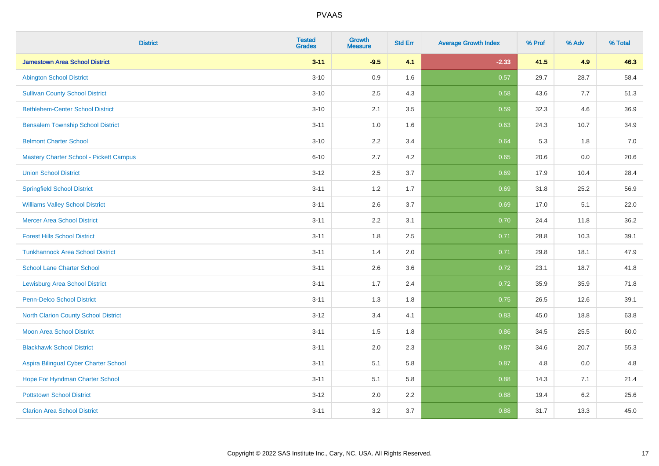| <b>District</b>                                | <b>Tested</b><br><b>Grades</b> | <b>Growth</b><br><b>Measure</b> | <b>Std Err</b> | <b>Average Growth Index</b> | % Prof | % Adv | % Total |
|------------------------------------------------|--------------------------------|---------------------------------|----------------|-----------------------------|--------|-------|---------|
| <b>Jamestown Area School District</b>          | $3 - 11$                       | $-9.5$                          | 4.1            | $-2.33$                     | 41.5   | 4.9   | 46.3    |
| <b>Abington School District</b>                | $3 - 10$                       | 0.9                             | 1.6            | 0.57                        | 29.7   | 28.7  | 58.4    |
| <b>Sullivan County School District</b>         | $3 - 10$                       | 2.5                             | 4.3            | 0.58                        | 43.6   | 7.7   | 51.3    |
| <b>Bethlehem-Center School District</b>        | $3 - 10$                       | 2.1                             | 3.5            | 0.59                        | 32.3   | 4.6   | 36.9    |
| <b>Bensalem Township School District</b>       | $3 - 11$                       | 1.0                             | 1.6            | 0.63                        | 24.3   | 10.7  | 34.9    |
| <b>Belmont Charter School</b>                  | $3 - 10$                       | 2.2                             | 3.4            | 0.64                        | 5.3    | 1.8   | 7.0     |
| <b>Mastery Charter School - Pickett Campus</b> | $6 - 10$                       | 2.7                             | 4.2            | 0.65                        | 20.6   | 0.0   | 20.6    |
| <b>Union School District</b>                   | $3 - 12$                       | 2.5                             | 3.7            | 0.69                        | 17.9   | 10.4  | 28.4    |
| <b>Springfield School District</b>             | $3 - 11$                       | 1.2                             | 1.7            | 0.69                        | 31.8   | 25.2  | 56.9    |
| <b>Williams Valley School District</b>         | $3 - 11$                       | 2.6                             | 3.7            | 0.69                        | 17.0   | 5.1   | 22.0    |
| <b>Mercer Area School District</b>             | $3 - 11$                       | 2.2                             | 3.1            | 0.70                        | 24.4   | 11.8  | 36.2    |
| <b>Forest Hills School District</b>            | $3 - 11$                       | 1.8                             | 2.5            | 0.71                        | 28.8   | 10.3  | 39.1    |
| <b>Tunkhannock Area School District</b>        | $3 - 11$                       | 1.4                             | 2.0            | 0.71                        | 29.8   | 18.1  | 47.9    |
| <b>School Lane Charter School</b>              | $3 - 11$                       | 2.6                             | 3.6            | 0.72                        | 23.1   | 18.7  | 41.8    |
| <b>Lewisburg Area School District</b>          | $3 - 11$                       | 1.7                             | 2.4            | 0.72                        | 35.9   | 35.9  | 71.8    |
| Penn-Delco School District                     | $3 - 11$                       | 1.3                             | 1.8            | 0.75                        | 26.5   | 12.6  | 39.1    |
| <b>North Clarion County School District</b>    | $3 - 12$                       | 3.4                             | 4.1            | 0.83                        | 45.0   | 18.8  | 63.8    |
| <b>Moon Area School District</b>               | $3 - 11$                       | 1.5                             | 1.8            | 0.86                        | 34.5   | 25.5  | 60.0    |
| <b>Blackhawk School District</b>               | $3 - 11$                       | 2.0                             | 2.3            | 0.87                        | 34.6   | 20.7  | 55.3    |
| Aspira Bilingual Cyber Charter School          | $3 - 11$                       | 5.1                             | 5.8            | 0.87                        | 4.8    | 0.0   | 4.8     |
| Hope For Hyndman Charter School                | $3 - 11$                       | 5.1                             | 5.8            | 0.88                        | 14.3   | 7.1   | 21.4    |
| <b>Pottstown School District</b>               | $3 - 12$                       | 2.0                             | 2.2            | 0.88                        | 19.4   | 6.2   | 25.6    |
| <b>Clarion Area School District</b>            | $3 - 11$                       | 3.2                             | 3.7            | 0.88                        | 31.7   | 13.3  | 45.0    |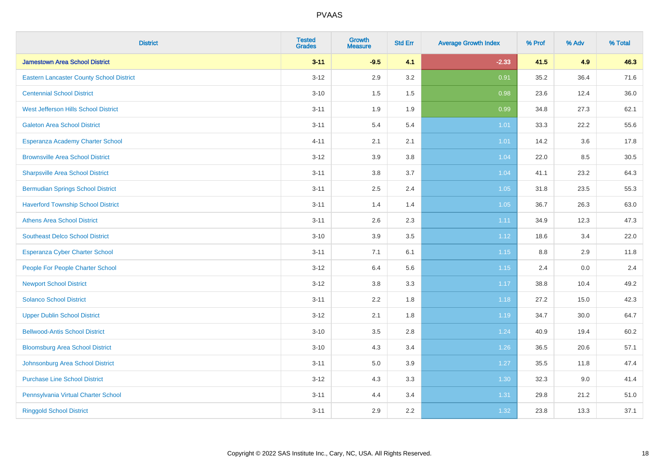| <b>District</b>                                 | <b>Tested</b><br><b>Grades</b> | <b>Growth</b><br><b>Measure</b> | <b>Std Err</b> | <b>Average Growth Index</b> | % Prof  | % Adv | % Total |
|-------------------------------------------------|--------------------------------|---------------------------------|----------------|-----------------------------|---------|-------|---------|
| <b>Jamestown Area School District</b>           | $3 - 11$                       | $-9.5$                          | 4.1            | $-2.33$                     | 41.5    | 4.9   | 46.3    |
| <b>Eastern Lancaster County School District</b> | $3 - 12$                       | 2.9                             | 3.2            | 0.91                        | 35.2    | 36.4  | 71.6    |
| <b>Centennial School District</b>               | $3 - 10$                       | 1.5                             | 1.5            | 0.98                        | 23.6    | 12.4  | 36.0    |
| West Jefferson Hills School District            | $3 - 11$                       | 1.9                             | 1.9            | 0.99                        | 34.8    | 27.3  | 62.1    |
| <b>Galeton Area School District</b>             | $3 - 11$                       | 5.4                             | 5.4            | 1.01                        | 33.3    | 22.2  | 55.6    |
| Esperanza Academy Charter School                | $4 - 11$                       | 2.1                             | 2.1            | $1.01$                      | 14.2    | 3.6   | 17.8    |
| <b>Brownsville Area School District</b>         | $3 - 12$                       | 3.9                             | 3.8            | 1.04                        | 22.0    | 8.5   | 30.5    |
| <b>Sharpsville Area School District</b>         | $3 - 11$                       | $3.8\,$                         | 3.7            | 1.04                        | 41.1    | 23.2  | 64.3    |
| <b>Bermudian Springs School District</b>        | $3 - 11$                       | 2.5                             | 2.4            | 1.05                        | 31.8    | 23.5  | 55.3    |
| <b>Haverford Township School District</b>       | $3 - 11$                       | 1.4                             | 1.4            | 1.05                        | 36.7    | 26.3  | 63.0    |
| <b>Athens Area School District</b>              | $3 - 11$                       | 2.6                             | 2.3            | 1.11                        | 34.9    | 12.3  | 47.3    |
| <b>Southeast Delco School District</b>          | $3 - 10$                       | 3.9                             | 3.5            | 1.12                        | 18.6    | 3.4   | 22.0    |
| Esperanza Cyber Charter School                  | $3 - 11$                       | 7.1                             | 6.1            | 1.15                        | $8.8\,$ | 2.9   | 11.8    |
| People For People Charter School                | $3 - 12$                       | 6.4                             | 5.6            | 1.15                        | 2.4     | 0.0   | 2.4     |
| <b>Newport School District</b>                  | $3 - 12$                       | 3.8                             | 3.3            | 1.17                        | 38.8    | 10.4  | 49.2    |
| <b>Solanco School District</b>                  | $3 - 11$                       | 2.2                             | 1.8            | 1.18                        | 27.2    | 15.0  | 42.3    |
| <b>Upper Dublin School District</b>             | $3 - 12$                       | 2.1                             | 1.8            | 1.19                        | 34.7    | 30.0  | 64.7    |
| <b>Bellwood-Antis School District</b>           | $3 - 10$                       | 3.5                             | 2.8            | 1.24                        | 40.9    | 19.4  | 60.2    |
| <b>Bloomsburg Area School District</b>          | $3 - 10$                       | 4.3                             | 3.4            | 1.26                        | 36.5    | 20.6  | 57.1    |
| Johnsonburg Area School District                | $3 - 11$                       | 5.0                             | 3.9            | 1.27                        | 35.5    | 11.8  | 47.4    |
| <b>Purchase Line School District</b>            | $3 - 12$                       | 4.3                             | 3.3            | 1.30                        | 32.3    | 9.0   | 41.4    |
| Pennsylvania Virtual Charter School             | $3 - 11$                       | 4.4                             | 3.4            | 1.31                        | 29.8    | 21.2  | 51.0    |
| <b>Ringgold School District</b>                 | $3 - 11$                       | 2.9                             | 2.2            | 1.32                        | 23.8    | 13.3  | 37.1    |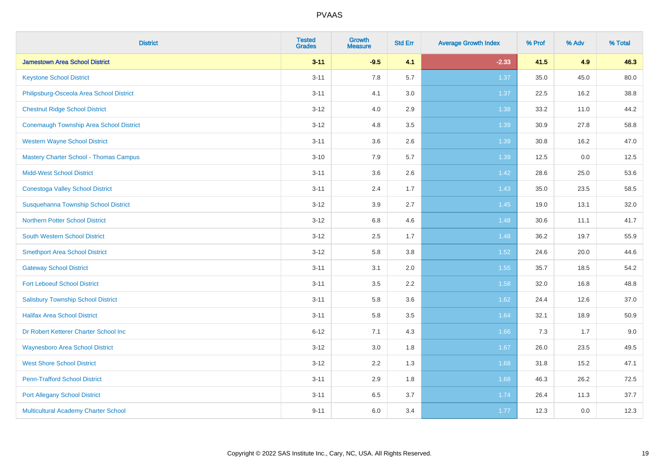| <b>District</b>                                | <b>Tested</b><br><b>Grades</b> | <b>Growth</b><br><b>Measure</b> | <b>Std Err</b> | <b>Average Growth Index</b> | % Prof | % Adv | % Total |
|------------------------------------------------|--------------------------------|---------------------------------|----------------|-----------------------------|--------|-------|---------|
| <b>Jamestown Area School District</b>          | $3 - 11$                       | $-9.5$                          | 4.1            | $-2.33$                     | 41.5   | 4.9   | 46.3    |
| <b>Keystone School District</b>                | $3 - 11$                       | 7.8                             | 5.7            | 1.37                        | 35.0   | 45.0  | 80.0    |
| Philipsburg-Osceola Area School District       | $3 - 11$                       | 4.1                             | 3.0            | 1.37                        | 22.5   | 16.2  | 38.8    |
| <b>Chestnut Ridge School District</b>          | $3 - 12$                       | 4.0                             | 2.9            | 1.38                        | 33.2   | 11.0  | 44.2    |
| <b>Conemaugh Township Area School District</b> | $3 - 12$                       | 4.8                             | 3.5            | 1.39                        | 30.9   | 27.8  | 58.8    |
| <b>Western Wayne School District</b>           | $3 - 11$                       | 3.6                             | 2.6            | 1.39                        | 30.8   | 16.2  | 47.0    |
| <b>Mastery Charter School - Thomas Campus</b>  | $3 - 10$                       | 7.9                             | 5.7            | 1.39                        | 12.5   | 0.0   | 12.5    |
| <b>Midd-West School District</b>               | $3 - 11$                       | 3.6                             | 2.6            | 1.42                        | 28.6   | 25.0  | 53.6    |
| <b>Conestoga Valley School District</b>        | $3 - 11$                       | 2.4                             | 1.7            | 1.43                        | 35.0   | 23.5  | 58.5    |
| Susquehanna Township School District           | $3 - 12$                       | 3.9                             | 2.7            | 1.45                        | 19.0   | 13.1  | 32.0    |
| <b>Northern Potter School District</b>         | $3 - 12$                       | $6.8\,$                         | 4.6            | 1.48                        | 30.6   | 11.1  | 41.7    |
| South Western School District                  | $3 - 12$                       | 2.5                             | 1.7            | 1.48                        | 36.2   | 19.7  | 55.9    |
| <b>Smethport Area School District</b>          | $3 - 12$                       | 5.8                             | 3.8            | 1.52                        | 24.6   | 20.0  | 44.6    |
| <b>Gateway School District</b>                 | $3 - 11$                       | 3.1                             | 2.0            | 1.55                        | 35.7   | 18.5  | 54.2    |
| <b>Fort Leboeuf School District</b>            | $3 - 11$                       | 3.5                             | 2.2            | 1.58                        | 32.0   | 16.8  | 48.8    |
| <b>Salisbury Township School District</b>      | $3 - 11$                       | 5.8                             | 3.6            | 1.62                        | 24.4   | 12.6  | 37.0    |
| <b>Halifax Area School District</b>            | $3 - 11$                       | 5.8                             | 3.5            | 1.64                        | 32.1   | 18.9  | 50.9    |
| Dr Robert Ketterer Charter School Inc          | $6 - 12$                       | 7.1                             | 4.3            | 1.66                        | 7.3    | 1.7   | 9.0     |
| <b>Waynesboro Area School District</b>         | $3 - 12$                       | 3.0                             | 1.8            | 1.67                        | 26.0   | 23.5  | 49.5    |
| <b>West Shore School District</b>              | $3 - 12$                       | 2.2                             | 1.3            | 1.68                        | 31.8   | 15.2  | 47.1    |
| <b>Penn-Trafford School District</b>           | $3 - 11$                       | 2.9                             | 1.8            | 1.68                        | 46.3   | 26.2  | 72.5    |
| <b>Port Allegany School District</b>           | $3 - 11$                       | 6.5                             | 3.7            | 1.74                        | 26.4   | 11.3  | 37.7    |
| Multicultural Academy Charter School           | $9 - 11$                       | 6.0                             | 3.4            | 1.77                        | 12.3   | 0.0   | 12.3    |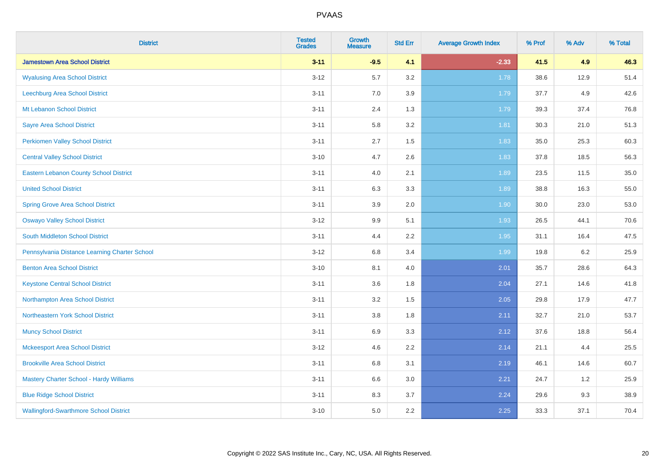| <b>District</b>                                | <b>Tested</b><br><b>Grades</b> | <b>Growth</b><br><b>Measure</b> | <b>Std Err</b> | <b>Average Growth Index</b> | % Prof | % Adv | % Total |
|------------------------------------------------|--------------------------------|---------------------------------|----------------|-----------------------------|--------|-------|---------|
| <b>Jamestown Area School District</b>          | $3 - 11$                       | $-9.5$                          | 4.1            | $-2.33$                     | 41.5   | 4.9   | 46.3    |
| <b>Wyalusing Area School District</b>          | $3 - 12$                       | 5.7                             | 3.2            | 1.78                        | 38.6   | 12.9  | 51.4    |
| Leechburg Area School District                 | $3 - 11$                       | 7.0                             | 3.9            | 1.79                        | 37.7   | 4.9   | 42.6    |
| Mt Lebanon School District                     | $3 - 11$                       | 2.4                             | 1.3            | 1.79                        | 39.3   | 37.4  | 76.8    |
| <b>Sayre Area School District</b>              | $3 - 11$                       | 5.8                             | 3.2            | 1.81                        | 30.3   | 21.0  | 51.3    |
| <b>Perkiomen Valley School District</b>        | $3 - 11$                       | 2.7                             | 1.5            | 1.83                        | 35.0   | 25.3  | 60.3    |
| <b>Central Valley School District</b>          | $3 - 10$                       | 4.7                             | 2.6            | 1.83                        | 37.8   | 18.5  | 56.3    |
| <b>Eastern Lebanon County School District</b>  | $3 - 11$                       | 4.0                             | 2.1            | 1.89                        | 23.5   | 11.5  | 35.0    |
| <b>United School District</b>                  | $3 - 11$                       | 6.3                             | 3.3            | 1.89                        | 38.8   | 16.3  | 55.0    |
| <b>Spring Grove Area School District</b>       | $3 - 11$                       | 3.9                             | 2.0            | 1.90                        | 30.0   | 23.0  | 53.0    |
| <b>Oswayo Valley School District</b>           | $3 - 12$                       | 9.9                             | 5.1            | 1.93                        | 26.5   | 44.1  | 70.6    |
| South Middleton School District                | $3 - 11$                       | 4.4                             | 2.2            | 1.95                        | 31.1   | 16.4  | 47.5    |
| Pennsylvania Distance Learning Charter School  | $3 - 12$                       | $6.8\,$                         | 3.4            | 1.99                        | 19.8   | 6.2   | 25.9    |
| <b>Benton Area School District</b>             | $3 - 10$                       | 8.1                             | 4.0            | 2.01                        | 35.7   | 28.6  | 64.3    |
| <b>Keystone Central School District</b>        | $3 - 11$                       | 3.6                             | 1.8            | 2.04                        | 27.1   | 14.6  | 41.8    |
| Northampton Area School District               | $3 - 11$                       | 3.2                             | 1.5            | 2.05                        | 29.8   | 17.9  | 47.7    |
| Northeastern York School District              | $3 - 11$                       | $3.8\,$                         | 1.8            | 2.11                        | 32.7   | 21.0  | 53.7    |
| <b>Muncy School District</b>                   | $3 - 11$                       | 6.9                             | 3.3            | 2.12                        | 37.6   | 18.8  | 56.4    |
| <b>Mckeesport Area School District</b>         | $3 - 12$                       | 4.6                             | 2.2            | 2.14                        | 21.1   | 4.4   | 25.5    |
| <b>Brookville Area School District</b>         | $3 - 11$                       | $6.8\,$                         | 3.1            | 2.19                        | 46.1   | 14.6  | 60.7    |
| <b>Mastery Charter School - Hardy Williams</b> | $3 - 11$                       | 6.6                             | 3.0            | 2.21                        | 24.7   | 1.2   | 25.9    |
| <b>Blue Ridge School District</b>              | $3 - 11$                       | 8.3                             | 3.7            | 2.24                        | 29.6   | 9.3   | 38.9    |
| <b>Wallingford-Swarthmore School District</b>  | $3 - 10$                       | 5.0                             | 2.2            | 2.25                        | 33.3   | 37.1  | 70.4    |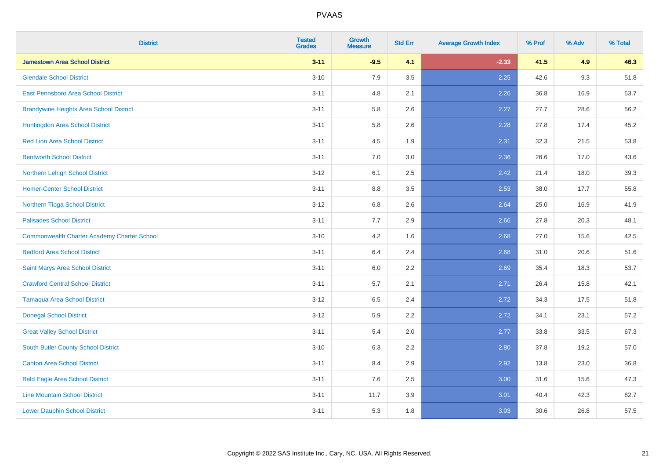| <b>District</b>                                    | <b>Tested</b><br><b>Grades</b> | <b>Growth</b><br><b>Measure</b> | <b>Std Err</b> | <b>Average Growth Index</b> | % Prof | % Adv | % Total |
|----------------------------------------------------|--------------------------------|---------------------------------|----------------|-----------------------------|--------|-------|---------|
| <b>Jamestown Area School District</b>              | $3 - 11$                       | $-9.5$                          | 4.1            | $-2.33$                     | 41.5   | 4.9   | 46.3    |
| <b>Glendale School District</b>                    | $3 - 10$                       | 7.9                             | 3.5            | 2.25                        | 42.6   | 9.3   | 51.8    |
| <b>East Pennsboro Area School District</b>         | $3 - 11$                       | 4.8                             | 2.1            | 2.26                        | 36.8   | 16.9  | 53.7    |
| <b>Brandywine Heights Area School District</b>     | $3 - 11$                       | 5.8                             | 2.6            | 2.27                        | 27.7   | 28.6  | 56.2    |
| Huntingdon Area School District                    | $3 - 11$                       | 5.8                             | 2.6            | 2.28                        | 27.8   | 17.4  | 45.2    |
| <b>Red Lion Area School District</b>               | $3 - 11$                       | 4.5                             | 1.9            | 2.31                        | 32.3   | 21.5  | 53.8    |
| <b>Bentworth School District</b>                   | $3 - 11$                       | 7.0                             | 3.0            | 2.36                        | 26.6   | 17.0  | 43.6    |
| Northern Lehigh School District                    | $3 - 12$                       | 6.1                             | 2.5            | 2.42                        | 21.4   | 18.0  | 39.3    |
| <b>Homer-Center School District</b>                | $3 - 11$                       | 8.8                             | 3.5            | 2.53                        | 38.0   | 17.7  | 55.8    |
| Northern Tioga School District                     | $3 - 12$                       | 6.8                             | 2.6            | 2.64                        | 25.0   | 16.9  | 41.9    |
| <b>Palisades School District</b>                   | $3 - 11$                       | 7.7                             | 2.9            | 2.66                        | 27.8   | 20.3  | 48.1    |
| <b>Commonwealth Charter Academy Charter School</b> | $3 - 10$                       | 4.2                             | 1.6            | 2.68                        | 27.0   | 15.6  | 42.5    |
| <b>Bedford Area School District</b>                | $3 - 11$                       | 6.4                             | 2.4            | 2.68                        | 31.0   | 20.6  | 51.6    |
| Saint Marys Area School District                   | $3 - 11$                       | 6.0                             | 2.2            | 2.69                        | 35.4   | 18.3  | 53.7    |
| <b>Crawford Central School District</b>            | $3 - 11$                       | 5.7                             | 2.1            | 2.71                        | 26.4   | 15.8  | 42.1    |
| <b>Tamaqua Area School District</b>                | $3 - 12$                       | 6.5                             | 2.4            | 2.72                        | 34.3   | 17.5  | 51.8    |
| <b>Donegal School District</b>                     | $3 - 12$                       | 5.9                             | 2.2            | 2.72                        | 34.1   | 23.1  | 57.2    |
| <b>Great Valley School District</b>                | $3 - 11$                       | 5.4                             | 2.0            | 2.77                        | 33.8   | 33.5  | 67.3    |
| <b>South Butler County School District</b>         | $3 - 10$                       | 6.3                             | 2.2            | 2.80                        | 37.8   | 19.2  | 57.0    |
| <b>Canton Area School District</b>                 | $3 - 11$                       | 8.4                             | 2.9            | 2.92                        | 13.8   | 23.0  | 36.8    |
| <b>Bald Eagle Area School District</b>             | $3 - 11$                       | 7.6                             | 2.5            | 3.00                        | 31.6   | 15.6  | 47.3    |
| <b>Line Mountain School District</b>               | $3 - 11$                       | 11.7                            | 3.9            | 3.01                        | 40.4   | 42.3  | 82.7    |
| <b>Lower Dauphin School District</b>               | $3 - 11$                       | 5.3                             | 1.8            | 3.03                        | 30.6   | 26.8  | 57.5    |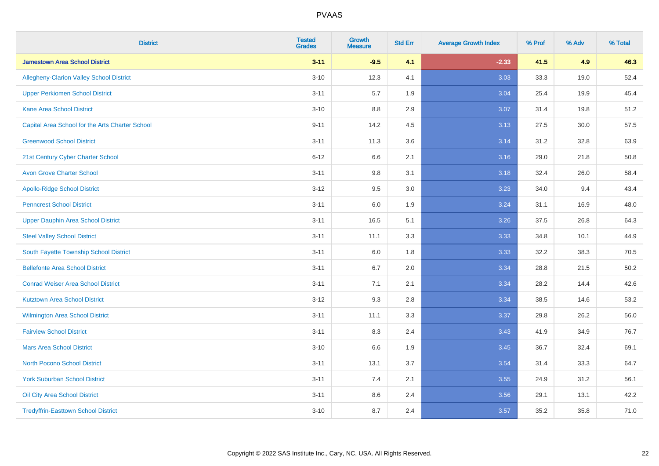| <b>District</b>                                 | <b>Tested</b><br><b>Grades</b> | <b>Growth</b><br><b>Measure</b> | <b>Std Err</b> | <b>Average Growth Index</b> | % Prof | % Adv | % Total |
|-------------------------------------------------|--------------------------------|---------------------------------|----------------|-----------------------------|--------|-------|---------|
| <b>Jamestown Area School District</b>           | $3 - 11$                       | $-9.5$                          | 4.1            | $-2.33$                     | 41.5   | 4.9   | 46.3    |
| <b>Allegheny-Clarion Valley School District</b> | $3 - 10$                       | 12.3                            | 4.1            | 3.03                        | 33.3   | 19.0  | 52.4    |
| <b>Upper Perkiomen School District</b>          | $3 - 11$                       | 5.7                             | 1.9            | 3.04                        | 25.4   | 19.9  | 45.4    |
| <b>Kane Area School District</b>                | $3 - 10$                       | 8.8                             | 2.9            | 3.07                        | 31.4   | 19.8  | 51.2    |
| Capital Area School for the Arts Charter School | $9 - 11$                       | 14.2                            | 4.5            | 3.13                        | 27.5   | 30.0  | 57.5    |
| <b>Greenwood School District</b>                | $3 - 11$                       | 11.3                            | 3.6            | 3.14                        | 31.2   | 32.8  | 63.9    |
| 21st Century Cyber Charter School               | $6 - 12$                       | 6.6                             | 2.1            | 3.16                        | 29.0   | 21.8  | 50.8    |
| <b>Avon Grove Charter School</b>                | $3 - 11$                       | 9.8                             | 3.1            | 3.18                        | 32.4   | 26.0  | 58.4    |
| <b>Apollo-Ridge School District</b>             | $3 - 12$                       | 9.5                             | 3.0            | 3.23                        | 34.0   | 9.4   | 43.4    |
| <b>Penncrest School District</b>                | $3 - 11$                       | 6.0                             | 1.9            | 3.24                        | 31.1   | 16.9  | 48.0    |
| <b>Upper Dauphin Area School District</b>       | $3 - 11$                       | 16.5                            | 5.1            | 3.26                        | 37.5   | 26.8  | 64.3    |
| <b>Steel Valley School District</b>             | $3 - 11$                       | 11.1                            | 3.3            | 3.33                        | 34.8   | 10.1  | 44.9    |
| South Fayette Township School District          | $3 - 11$                       | 6.0                             | 1.8            | 3.33                        | 32.2   | 38.3  | 70.5    |
| <b>Bellefonte Area School District</b>          | $3 - 11$                       | 6.7                             | 2.0            | 3.34                        | 28.8   | 21.5  | 50.2    |
| <b>Conrad Weiser Area School District</b>       | $3 - 11$                       | 7.1                             | 2.1            | 3.34                        | 28.2   | 14.4  | 42.6    |
| <b>Kutztown Area School District</b>            | $3 - 12$                       | 9.3                             | 2.8            | 3.34                        | 38.5   | 14.6  | 53.2    |
| Wilmington Area School District                 | $3 - 11$                       | 11.1                            | 3.3            | 3.37                        | 29.8   | 26.2  | 56.0    |
| <b>Fairview School District</b>                 | $3 - 11$                       | 8.3                             | 2.4            | 3.43                        | 41.9   | 34.9  | 76.7    |
| <b>Mars Area School District</b>                | $3 - 10$                       | 6.6                             | 1.9            | 3.45                        | 36.7   | 32.4  | 69.1    |
| <b>North Pocono School District</b>             | $3 - 11$                       | 13.1                            | 3.7            | 3.54                        | 31.4   | 33.3  | 64.7    |
| <b>York Suburban School District</b>            | $3 - 11$                       | 7.4                             | 2.1            | 3.55                        | 24.9   | 31.2  | 56.1    |
| Oil City Area School District                   | $3 - 11$                       | 8.6                             | 2.4            | 3.56                        | 29.1   | 13.1  | 42.2    |
| <b>Tredyffrin-Easttown School District</b>      | $3 - 10$                       | 8.7                             | 2.4            | 3.57                        | 35.2   | 35.8  | 71.0    |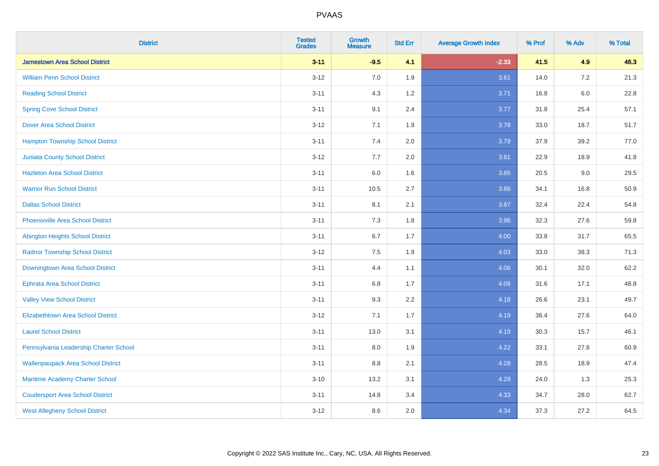| <b>District</b>                           | <b>Tested</b><br><b>Grades</b> | <b>Growth</b><br><b>Measure</b> | <b>Std Err</b> | <b>Average Growth Index</b> | % Prof | % Adv   | % Total |
|-------------------------------------------|--------------------------------|---------------------------------|----------------|-----------------------------|--------|---------|---------|
| <b>Jamestown Area School District</b>     | $3 - 11$                       | $-9.5$                          | 4.1            | $-2.33$                     | 41.5   | 4.9     | 46.3    |
| <b>William Penn School District</b>       | $3 - 12$                       | 7.0                             | 1.9            | 3.61                        | 14.0   | $7.2\,$ | 21.3    |
| <b>Reading School District</b>            | $3 - 11$                       | 4.3                             | 1.2            | 3.71                        | 16.8   | $6.0\,$ | 22.8    |
| <b>Spring Cove School District</b>        | $3 - 11$                       | 9.1                             | 2.4            | 3.77                        | 31.8   | 25.4    | 57.1    |
| <b>Dover Area School District</b>         | $3 - 12$                       | 7.1                             | 1.9            | 3.78                        | 33.0   | 18.7    | 51.7    |
| <b>Hampton Township School District</b>   | $3 - 11$                       | 7.4                             | 2.0            | 3.79                        | 37.9   | 39.2    | 77.0    |
| <b>Juniata County School District</b>     | $3 - 12$                       | 7.7                             | 2.0            | 3.81                        | 22.9   | 18.9    | 41.8    |
| <b>Hazleton Area School District</b>      | $3 - 11$                       | 6.0                             | 1.6            | 3.85                        | 20.5   | 9.0     | 29.5    |
| <b>Warrior Run School District</b>        | $3 - 11$                       | 10.5                            | 2.7            | 3.86                        | 34.1   | 16.8    | 50.9    |
| <b>Dallas School District</b>             | $3 - 11$                       | 8.1                             | 2.1            | 3.87                        | 32.4   | 22.4    | 54.8    |
| <b>Phoenixville Area School District</b>  | $3 - 11$                       | 7.3                             | 1.8            | 3.96                        | 32.3   | 27.6    | 59.8    |
| Abington Heights School District          | $3 - 11$                       | 6.7                             | 1.7            | 4.00                        | 33.8   | 31.7    | 65.5    |
| <b>Radnor Township School District</b>    | $3 - 12$                       | $7.5\,$                         | 1.9            | 4.03                        | 33.0   | 38.3    | 71.3    |
| Downingtown Area School District          | $3 - 11$                       | 4.4                             | 1.1            | 4.06                        | 30.1   | 32.0    | 62.2    |
| <b>Ephrata Area School District</b>       | $3 - 11$                       | 6.8                             | 1.7            | 4.08                        | 31.6   | 17.1    | 48.8    |
| <b>Valley View School District</b>        | $3 - 11$                       | 9.3                             | 2.2            | 4.18                        | 26.6   | 23.1    | 49.7    |
| <b>Elizabethtown Area School District</b> | $3 - 12$                       | 7.1                             | 1.7            | 4.19                        | 36.4   | 27.6    | 64.0    |
| <b>Laurel School District</b>             | $3 - 11$                       | 13.0                            | 3.1            | 4.19                        | 30.3   | 15.7    | 46.1    |
| Pennsylvania Leadership Charter School    | $3 - 11$                       | 8.0                             | 1.9            | 4.22                        | 33.1   | 27.8    | 60.9    |
| <b>Wallenpaupack Area School District</b> | $3 - 11$                       | 8.8                             | 2.1            | 4.28                        | 28.5   | 18.9    | 47.4    |
| Maritime Academy Charter School           | $3 - 10$                       | 13.2                            | 3.1            | 4.29                        | 24.0   | 1.3     | 25.3    |
| <b>Coudersport Area School District</b>   | $3 - 11$                       | 14.8                            | 3.4            | 4.33                        | 34.7   | 28.0    | 62.7    |
| <b>West Allegheny School District</b>     | $3 - 12$                       | 8.6                             | 2.0            | 4.34                        | 37.3   | 27.2    | 64.5    |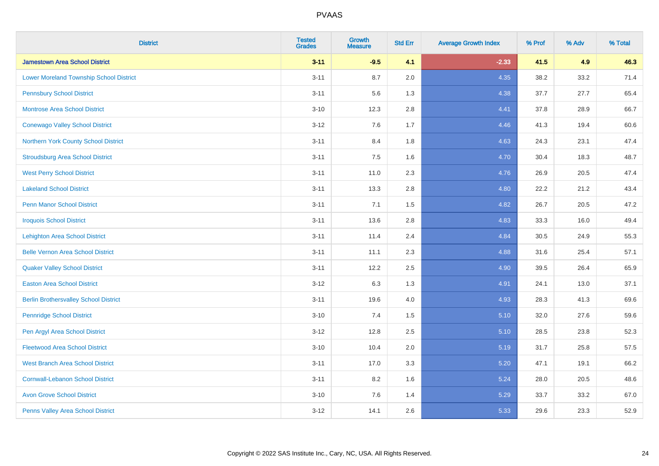| <b>District</b>                                | <b>Tested</b><br><b>Grades</b> | <b>Growth</b><br><b>Measure</b> | <b>Std Err</b> | <b>Average Growth Index</b> | % Prof | % Adv | % Total |
|------------------------------------------------|--------------------------------|---------------------------------|----------------|-----------------------------|--------|-------|---------|
| <b>Jamestown Area School District</b>          | $3 - 11$                       | $-9.5$                          | 4.1            | $-2.33$                     | 41.5   | 4.9   | 46.3    |
| <b>Lower Moreland Township School District</b> | $3 - 11$                       | 8.7                             | 2.0            | 4.35                        | 38.2   | 33.2  | 71.4    |
| <b>Pennsbury School District</b>               | $3 - 11$                       | 5.6                             | 1.3            | 4.38                        | 37.7   | 27.7  | 65.4    |
| <b>Montrose Area School District</b>           | $3 - 10$                       | 12.3                            | 2.8            | 4.41                        | 37.8   | 28.9  | 66.7    |
| <b>Conewago Valley School District</b>         | $3 - 12$                       | 7.6                             | 1.7            | 4.46                        | 41.3   | 19.4  | 60.6    |
| Northern York County School District           | $3 - 11$                       | 8.4                             | 1.8            | 4.63                        | 24.3   | 23.1  | 47.4    |
| <b>Stroudsburg Area School District</b>        | $3 - 11$                       | 7.5                             | 1.6            | 4.70                        | 30.4   | 18.3  | 48.7    |
| <b>West Perry School District</b>              | $3 - 11$                       | 11.0                            | 2.3            | 4.76                        | 26.9   | 20.5  | 47.4    |
| <b>Lakeland School District</b>                | $3 - 11$                       | 13.3                            | 2.8            | 4.80                        | 22.2   | 21.2  | 43.4    |
| <b>Penn Manor School District</b>              | $3 - 11$                       | 7.1                             | 1.5            | 4.82                        | 26.7   | 20.5  | 47.2    |
| <b>Iroquois School District</b>                | $3 - 11$                       | 13.6                            | 2.8            | 4.83                        | 33.3   | 16.0  | 49.4    |
| <b>Lehighton Area School District</b>          | $3 - 11$                       | 11.4                            | 2.4            | 4.84                        | 30.5   | 24.9  | 55.3    |
| <b>Belle Vernon Area School District</b>       | $3 - 11$                       | 11.1                            | 2.3            | 4.88                        | 31.6   | 25.4  | 57.1    |
| <b>Quaker Valley School District</b>           | $3 - 11$                       | 12.2                            | 2.5            | 4.90                        | 39.5   | 26.4  | 65.9    |
| <b>Easton Area School District</b>             | $3 - 12$                       | 6.3                             | 1.3            | 4.91                        | 24.1   | 13.0  | 37.1    |
| <b>Berlin Brothersvalley School District</b>   | $3 - 11$                       | 19.6                            | 4.0            | 4.93                        | 28.3   | 41.3  | 69.6    |
| <b>Pennridge School District</b>               | $3 - 10$                       | 7.4                             | 1.5            | 5.10                        | 32.0   | 27.6  | 59.6    |
| Pen Argyl Area School District                 | $3 - 12$                       | 12.8                            | 2.5            | 5.10                        | 28.5   | 23.8  | 52.3    |
| <b>Fleetwood Area School District</b>          | $3 - 10$                       | 10.4                            | 2.0            | 5.19                        | 31.7   | 25.8  | 57.5    |
| <b>West Branch Area School District</b>        | $3 - 11$                       | 17.0                            | 3.3            | 5.20                        | 47.1   | 19.1  | 66.2    |
| <b>Cornwall-Lebanon School District</b>        | $3 - 11$                       | 8.2                             | 1.6            | 5.24                        | 28.0   | 20.5  | 48.6    |
| <b>Avon Grove School District</b>              | $3 - 10$                       | 7.6                             | 1.4            | 5.29                        | 33.7   | 33.2  | 67.0    |
| Penns Valley Area School District              | $3 - 12$                       | 14.1                            | 2.6            | 5.33                        | 29.6   | 23.3  | 52.9    |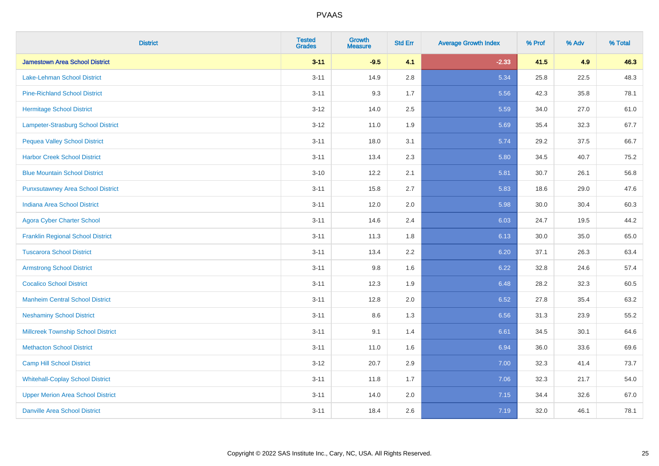| <b>District</b>                           | <b>Tested</b><br><b>Grades</b> | <b>Growth</b><br><b>Measure</b> | <b>Std Err</b> | <b>Average Growth Index</b> | % Prof | % Adv | % Total |
|-------------------------------------------|--------------------------------|---------------------------------|----------------|-----------------------------|--------|-------|---------|
| <b>Jamestown Area School District</b>     | $3 - 11$                       | $-9.5$                          | 4.1            | $-2.33$                     | 41.5   | 4.9   | 46.3    |
| Lake-Lehman School District               | $3 - 11$                       | 14.9                            | 2.8            | 5.34                        | 25.8   | 22.5  | 48.3    |
| <b>Pine-Richland School District</b>      | $3 - 11$                       | 9.3                             | 1.7            | 5.56                        | 42.3   | 35.8  | 78.1    |
| <b>Hermitage School District</b>          | $3 - 12$                       | 14.0                            | 2.5            | 5.59                        | 34.0   | 27.0  | 61.0    |
| Lampeter-Strasburg School District        | $3 - 12$                       | 11.0                            | 1.9            | 5.69                        | 35.4   | 32.3  | 67.7    |
| <b>Pequea Valley School District</b>      | $3 - 11$                       | 18.0                            | 3.1            | 5.74                        | 29.2   | 37.5  | 66.7    |
| <b>Harbor Creek School District</b>       | $3 - 11$                       | 13.4                            | 2.3            | 5.80                        | 34.5   | 40.7  | 75.2    |
| <b>Blue Mountain School District</b>      | $3 - 10$                       | 12.2                            | 2.1            | 5.81                        | 30.7   | 26.1  | 56.8    |
| <b>Punxsutawney Area School District</b>  | $3 - 11$                       | 15.8                            | 2.7            | 5.83                        | 18.6   | 29.0  | 47.6    |
| <b>Indiana Area School District</b>       | $3 - 11$                       | 12.0                            | 2.0            | 5.98                        | 30.0   | 30.4  | 60.3    |
| <b>Agora Cyber Charter School</b>         | $3 - 11$                       | 14.6                            | 2.4            | 6.03                        | 24.7   | 19.5  | 44.2    |
| <b>Franklin Regional School District</b>  | $3 - 11$                       | 11.3                            | 1.8            | 6.13                        | 30.0   | 35.0  | 65.0    |
| <b>Tuscarora School District</b>          | $3 - 11$                       | 13.4                            | 2.2            | 6.20                        | 37.1   | 26.3  | 63.4    |
| <b>Armstrong School District</b>          | $3 - 11$                       | 9.8                             | 1.6            | 6.22                        | 32.8   | 24.6  | 57.4    |
| <b>Cocalico School District</b>           | $3 - 11$                       | 12.3                            | 1.9            | 6.48                        | 28.2   | 32.3  | 60.5    |
| <b>Manheim Central School District</b>    | $3 - 11$                       | 12.8                            | 2.0            | 6.52                        | 27.8   | 35.4  | 63.2    |
| <b>Neshaminy School District</b>          | $3 - 11$                       | 8.6                             | 1.3            | 6.56                        | 31.3   | 23.9  | 55.2    |
| <b>Millcreek Township School District</b> | $3 - 11$                       | 9.1                             | 1.4            | 6.61                        | 34.5   | 30.1  | 64.6    |
| <b>Methacton School District</b>          | $3 - 11$                       | 11.0                            | 1.6            | 6.94                        | 36.0   | 33.6  | 69.6    |
| Camp Hill School District                 | $3 - 12$                       | 20.7                            | 2.9            | 7.00                        | 32.3   | 41.4  | 73.7    |
| <b>Whitehall-Coplay School District</b>   | $3 - 11$                       | 11.8                            | 1.7            | 7.06                        | 32.3   | 21.7  | 54.0    |
| <b>Upper Merion Area School District</b>  | $3 - 11$                       | 14.0                            | 2.0            | 7.15                        | 34.4   | 32.6  | 67.0    |
| <b>Danville Area School District</b>      | $3 - 11$                       | 18.4                            | 2.6            | 7.19                        | 32.0   | 46.1  | 78.1    |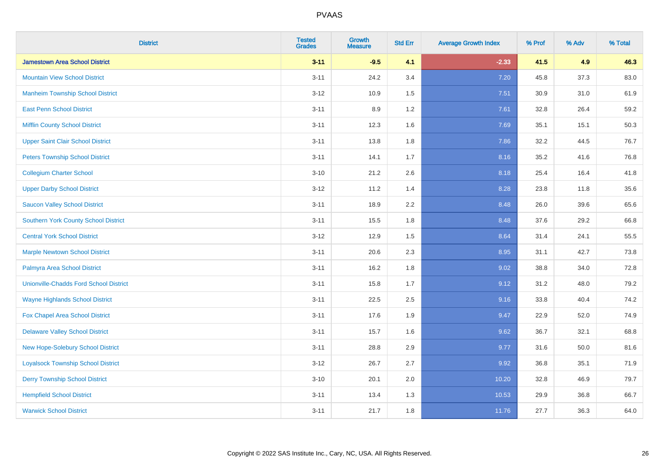| <b>District</b>                               | <b>Tested</b><br><b>Grades</b> | <b>Growth</b><br><b>Measure</b> | <b>Std Err</b> | <b>Average Growth Index</b> | % Prof | % Adv | % Total |
|-----------------------------------------------|--------------------------------|---------------------------------|----------------|-----------------------------|--------|-------|---------|
| <b>Jamestown Area School District</b>         | $3 - 11$                       | $-9.5$                          | 4.1            | $-2.33$                     | 41.5   | 4.9   | 46.3    |
| <b>Mountain View School District</b>          | $3 - 11$                       | 24.2                            | 3.4            | 7.20                        | 45.8   | 37.3  | 83.0    |
| <b>Manheim Township School District</b>       | $3 - 12$                       | 10.9                            | 1.5            | 7.51                        | 30.9   | 31.0  | 61.9    |
| <b>East Penn School District</b>              | $3 - 11$                       | 8.9                             | 1.2            | 7.61                        | 32.8   | 26.4  | 59.2    |
| <b>Mifflin County School District</b>         | $3 - 11$                       | 12.3                            | 1.6            | 7.69                        | 35.1   | 15.1  | 50.3    |
| <b>Upper Saint Clair School District</b>      | $3 - 11$                       | 13.8                            | 1.8            | 7.86                        | 32.2   | 44.5  | 76.7    |
| <b>Peters Township School District</b>        | $3 - 11$                       | 14.1                            | 1.7            | 8.16                        | 35.2   | 41.6  | 76.8    |
| <b>Collegium Charter School</b>               | $3 - 10$                       | 21.2                            | 2.6            | 8.18                        | 25.4   | 16.4  | 41.8    |
| <b>Upper Darby School District</b>            | $3 - 12$                       | 11.2                            | 1.4            | 8.28                        | 23.8   | 11.8  | 35.6    |
| <b>Saucon Valley School District</b>          | $3 - 11$                       | 18.9                            | 2.2            | 8.48                        | 26.0   | 39.6  | 65.6    |
| <b>Southern York County School District</b>   | $3 - 11$                       | 15.5                            | 1.8            | 8.48                        | 37.6   | 29.2  | 66.8    |
| <b>Central York School District</b>           | $3 - 12$                       | 12.9                            | 1.5            | 8.64                        | 31.4   | 24.1  | 55.5    |
| <b>Marple Newtown School District</b>         | $3 - 11$                       | 20.6                            | 2.3            | 8.95                        | 31.1   | 42.7  | 73.8    |
| Palmyra Area School District                  | $3 - 11$                       | 16.2                            | 1.8            | 9.02                        | 38.8   | 34.0  | 72.8    |
| <b>Unionville-Chadds Ford School District</b> | $3 - 11$                       | 15.8                            | 1.7            | 9.12                        | 31.2   | 48.0  | 79.2    |
| <b>Wayne Highlands School District</b>        | $3 - 11$                       | 22.5                            | 2.5            | 9.16                        | 33.8   | 40.4  | 74.2    |
| Fox Chapel Area School District               | $3 - 11$                       | 17.6                            | 1.9            | 9.47                        | 22.9   | 52.0  | 74.9    |
| <b>Delaware Valley School District</b>        | $3 - 11$                       | 15.7                            | 1.6            | 9.62                        | 36.7   | 32.1  | 68.8    |
| New Hope-Solebury School District             | $3 - 11$                       | 28.8                            | 2.9            | 9.77                        | 31.6   | 50.0  | 81.6    |
| <b>Loyalsock Township School District</b>     | $3 - 12$                       | 26.7                            | 2.7            | 9.92                        | 36.8   | 35.1  | 71.9    |
| <b>Derry Township School District</b>         | $3 - 10$                       | 20.1                            | 2.0            | 10.20                       | 32.8   | 46.9  | 79.7    |
| <b>Hempfield School District</b>              | $3 - 11$                       | 13.4                            | 1.3            | 10.53                       | 29.9   | 36.8  | 66.7    |
| <b>Warwick School District</b>                | $3 - 11$                       | 21.7                            | 1.8            | 11.76                       | 27.7   | 36.3  | 64.0    |